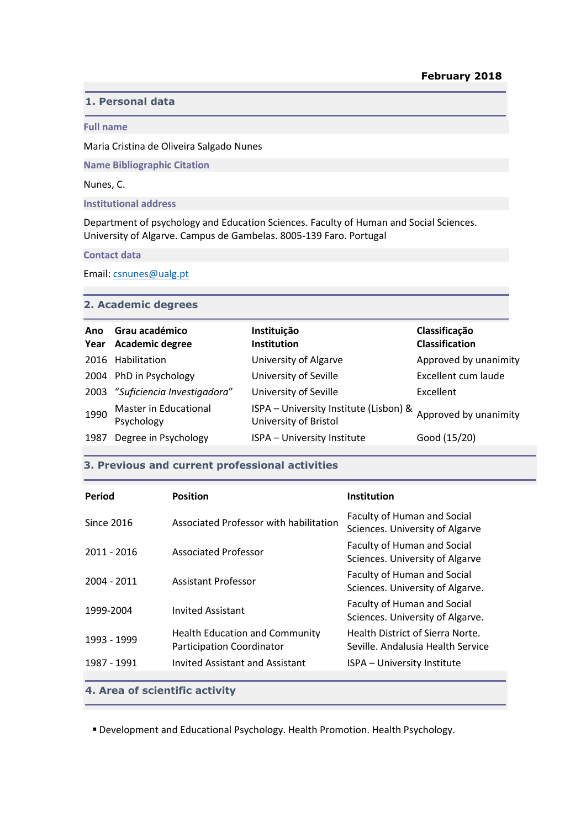# **1. Personal data**

#### **Full name**

Maria Cristina de Oliveira Salgado Nunes

**Name Bibliographic Citation**

Nunes, C.

**Institutional address**

Department of psychology and Education Sciences. Faculty of Human and Social Sciences. University of Algarve. Campus de Gambelas. 8005-139 Faro. Portugal

**Contact data**

Email: [csnunes@ualg.pt](mailto:csnunes@ualg.pt)

# **2. Academic degrees**

| Ano<br>Year | Grau académico<br>Academic degree   | Instituição<br><b>Institution</b>                               | Classificação<br><b>Classification</b> |
|-------------|-------------------------------------|-----------------------------------------------------------------|----------------------------------------|
|             | 2016 Habilitation                   | University of Algarve                                           | Approved by unanimity                  |
|             | 2004 PhD in Psychology              | University of Seville                                           | Excellent cum laude                    |
| 2003        | "Suficiencia Investigadora"         | University of Seville                                           | Excellent                              |
| 1990        | Master in Educational<br>Psychology | ISPA - University Institute (Lisbon) &<br>University of Bristol | Approved by unanimity                  |
| 1987        | Degree in Psychology                | ISPA - University Institute                                     | Good (15/20)                           |

### **3. Previous and current professional activities**

| Period                         | <b>Position</b>                                                    | <b>Institution</b>                                                    |  |  |  |
|--------------------------------|--------------------------------------------------------------------|-----------------------------------------------------------------------|--|--|--|
| Since 2016                     | Associated Professor with habilitation                             | Faculty of Human and Social<br>Sciences. University of Algarve        |  |  |  |
| 2011 - 2016                    | Associated Professor                                               | <b>Faculty of Human and Social</b><br>Sciences. University of Algarve |  |  |  |
| 2004 - 2011                    | Assistant Professor                                                | Faculty of Human and Social<br>Sciences. University of Algarve.       |  |  |  |
| 1999-2004                      | <b>Invited Assistant</b>                                           | Faculty of Human and Social<br>Sciences. University of Algarve.       |  |  |  |
| 1993 - 1999                    | Health Education and Community<br><b>Participation Coordinator</b> | Health District of Sierra Norte.<br>Seville, Andalusia Health Service |  |  |  |
| 1987 - 1991                    | Invited Assistant and Assistant                                    | ISPA - University Institute                                           |  |  |  |
| 4. Area of scientific activity |                                                                    |                                                                       |  |  |  |

Development and Educational Psychology. Health Promotion. Health Psychology.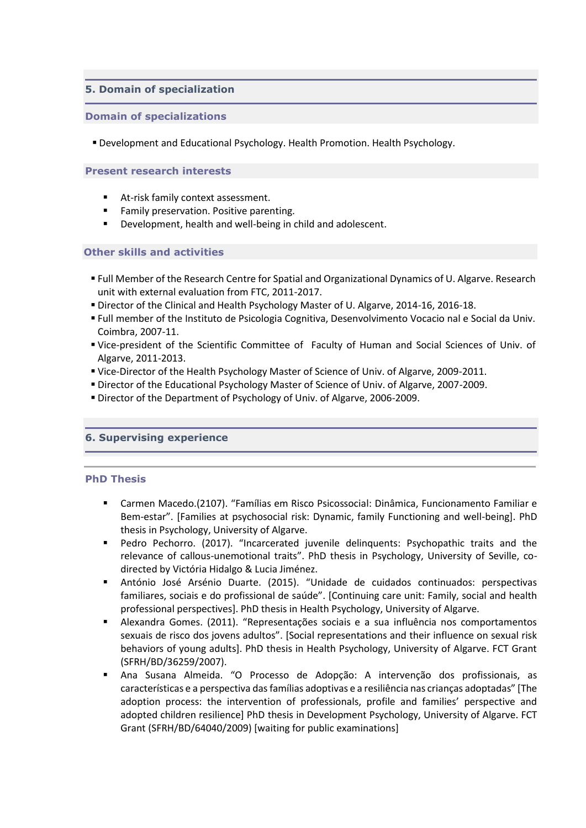# **5. Domain of specialization**

### **Domain of specializations**

Development and Educational Psychology. Health Promotion. Health Psychology.

### **Present research interests**

- At-risk family context assessment.
- **Family preservation. Positive parenting.**
- Development, health and well-being in child and adolescent.

# **Other skills and activities**

- Full Member of the Research Centre for Spatial and Organizational Dynamics of U. Algarve. Research unit with external evaluation from FTC, 2011-2017.
- Director of the Clinical and Health Psychology Master of U. Algarve, 2014-16, 2016-18.
- Full member of the Instituto de Psicologia Cognitiva, Desenvolvimento Vocacio nal e Social da Univ. Coimbra, 2007-11.
- Vice-president of the Scientific Committee of Faculty of Human and Social Sciences of Univ. of Algarve, 2011-2013.
- Vice-Director of the Health Psychology Master of Science of Univ. of Algarve, 2009-2011.
- Director of the Educational Psychology Master of Science of Univ. of Algarve, 2007-2009.
- Director of the Department of Psychology of Univ. of Algarve, 2006-2009.

# **6. Supervising experience**

# **PhD Thesis**

- Carmen Macedo.(2107). "Famílias em Risco Psicossocial: Dinâmica, Funcionamento Familiar e Bem-estar". [Families at psychosocial risk: Dynamic, family Functioning and well-being]. PhD thesis in Psychology, University of Algarve.
- Pedro Pechorro. (2017). "Incarcerated juvenile delinquents: Psychopathic traits and the relevance of callous-unemotional traits". PhD thesis in Psychology, University of Seville, codirected by Victória Hidalgo & Lucia Jiménez.
- António José Arsénio Duarte. (2015). "Unidade de cuidados continuados: perspectivas familiares, sociais e do profissional de saúde". [Continuing care unit: Family, social and health professional perspectives]. PhD thesis in Health Psychology, University of Algarve.
- Alexandra Gomes. (2011). "Representações sociais e a sua influência nos comportamentos sexuais de risco dos jovens adultos". [Social representations and their influence on sexual risk behaviors of young adults]. PhD thesis in Health Psychology, University of Algarve. FCT Grant (SFRH/BD/36259/2007).
- Ana Susana Almeida. "O Processo de Adopção: A intervenção dos profissionais, as características e a perspectiva das famílias adoptivas e a resiliência nas crianças adoptadas" [The adoption process: the intervention of professionals, profile and families' perspective and adopted children resilience] PhD thesis in Development Psychology, University of Algarve. FCT Grant (SFRH/BD/64040/2009) [waiting for public examinations]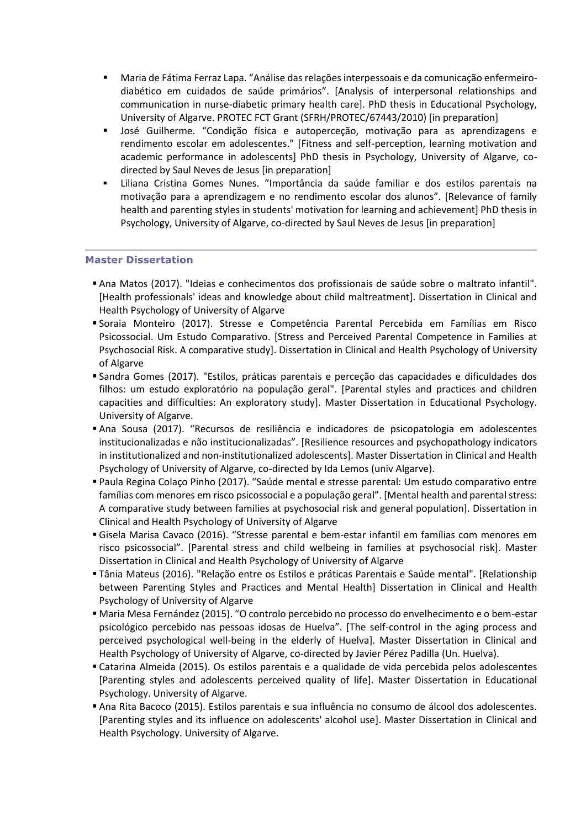- Maria de Fátima Ferraz Lapa. "Análise das relações interpessoais e da comunicação enfermeirodiabético em cuidados de saúde primários". [Analysis of interpersonal relationships and communication in nurse-diabetic primary health care]. PhD thesis in Educational Psychology, University of Algarve. PROTEC FCT Grant (SFRH/PROTEC/67443/2010) [in preparation]
- José Guilherme. "Condição física e autoperceção, motivação para as aprendizagens e rendimento escolar em adolescentes." [Fitness and self-perception, learning motivation and academic performance in adolescents] PhD thesis in Psychology, University of Algarve, codirected by Saul Neves de Jesus [in preparation]
- Liliana Cristina Gomes Nunes. "Importância da saúde familiar e dos estilos parentais na motivação para a aprendizagem e no rendimento escolar dos alunos". [Relevance of family health and parenting styles in students' motivation for learning and achievement] PhD thesis in Psychology, University of Algarve, co-directed by Saul Neves de Jesus [in preparation]

# **Master Dissertation**

- Ana Matos (2017). "Ideias e conhecimentos dos profissionais de saúde sobre o maltrato infantil". [Health professionals' ideas and knowledge about child maltreatment]. Dissertation in Clinical and Health Psychology of University of Algarve
- Soraia Monteiro (2017). Stresse e Competência Parental Percebida em Famílias em Risco Psicossocial. Um Estudo Comparativo. [Stress and Perceived Parental Competence in Families at Psychosocial Risk. A comparative study]. Dissertation in Clinical and Health Psychology of University of Algarve
- Sandra Gomes (2017). "Estilos, práticas parentais e perceção das capacidades e dificuldades dos filhos: um estudo exploratório na população geral". [Parental styles and practices and children capacities and difficulties: An exploratory study]. Master Dissertation in Educational Psychology. University of Algarve.
- Ana Sousa (2017). "Recursos de resiliência e indicadores de psicopatologia em adolescentes institucionalizadas e não institucionalizadas". [Resilience resources and psychopathology indicators in institutionalized and non-institutionalized adolescents]. Master Dissertation in Clinical and Health Psychology of University of Algarve, co-directed by Ida Lemos (univ Algarve).
- Paula Regina Colaço Pinho (2017). "Saúde mental e stresse parental: Um estudo comparativo entre famílias com menores em risco psicossocial e a população geral". [Mental health and parental stress: A comparative study between families at psychosocial risk and general population]. Dissertation in Clinical and Health Psychology of University of Algarve
- Gisela Marisa Cavaco (2016). "Stresse parental e bem-estar infantil em famílias com menores em risco psicossocial". [Parental stress and child welbeing in families at psychosocial risk]. Master Dissertation in Clinical and Health Psychology of University of Algarve
- Tânia Mateus (2016). "Relação entre os Estilos e práticas Parentais e Saúde mental". [Relationship between Parenting Styles and Practices and Mental Health] Dissertation in Clinical and Health Psychology of University of Algarve
- Maria Mesa Fernández (2015). "O controlo percebido no processo do envelhecimento e o bem-estar psicológico percebido nas pessoas idosas de Huelva". [The self-control in the aging process and perceived psychological well-being in the elderly of Huelva]. Master Dissertation in Clinical and Health Psychology of University of Algarve, co-directed by Javier Pérez Padilla (Un. Huelva).
- Catarina Almeida (2015). Os estilos parentais e a qualidade de vida percebida pelos adolescentes [Parenting styles and adolescents perceived quality of life]. Master Dissertation in Educational Psychology. University of Algarve.
- Ana Rita Bacoco (2015). Estilos parentais e sua influência no consumo de álcool dos adolescentes. [Parenting styles and its influence on adolescents' alcohol use]. Master Dissertation in Clinical and Health Psychology. University of Algarve.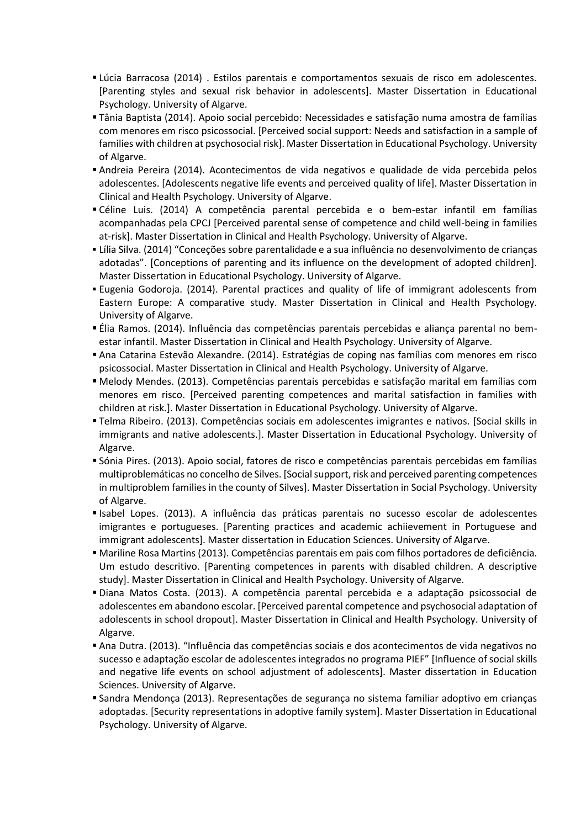- Lúcia Barracosa (2014) . Estilos parentais e comportamentos sexuais de risco em adolescentes. [Parenting styles and sexual risk behavior in adolescents]. Master Dissertation in Educational Psychology. University of Algarve.
- Tânia Baptista (2014). Apoio social percebido: Necessidades e satisfação numa amostra de famílias com menores em risco psicossocial. [Perceived social support: Needs and satisfaction in a sample of families with children at psychosocial risk]. Master Dissertation in Educational Psychology. University of Algarve.
- Andreia Pereira (2014). Acontecimentos de vida negativos e qualidade de vida percebida pelos adolescentes. [Adolescents negative life events and perceived quality of life]. Master Dissertation in Clinical and Health Psychology. University of Algarve.
- Céline Luis. (2014) A competência parental percebida e o bem-estar infantil em famílias acompanhadas pela CPCJ [Perceived parental sense of competence and child well-being in families at-risk]. Master Dissertation in Clinical and Health Psychology. University of Algarve.
- Lília Silva. (2014) "Conceções sobre parentalidade e a sua influência no desenvolvimento de crianças adotadas". [Conceptions of parenting and its influence on the development of adopted children]. Master Dissertation in Educational Psychology. University of Algarve.
- Eugenia Godoroja. (2014). Parental practices and quality of life of immigrant adolescents from Eastern Europe: A comparative study. Master Dissertation in Clinical and Health Psychology. University of Algarve.
- Élia Ramos. (2014). Influência das competências parentais percebidas e aliança parental no bemestar infantil. Master Dissertation in Clinical and Health Psychology. University of Algarve.
- Ana Catarina Estevão Alexandre. (2014). Estratégias de coping nas famílias com menores em risco psicossocial. Master Dissertation in Clinical and Health Psychology. University of Algarve.
- Melody Mendes. (2013). Competências parentais percebidas e satisfação marital em famílias com menores em risco. [Perceived parenting competences and marital satisfaction in families with children at risk.]. Master Dissertation in Educational Psychology. University of Algarve.
- Telma Ribeiro. (2013). Competências sociais em adolescentes imigrantes e nativos. [Social skills in immigrants and native adolescents.]. Master Dissertation in Educational Psychology. University of Algarve.
- Sónia Pires. (2013). Apoio social, fatores de risco e competências parentais percebidas em famílias multiproblemáticas no concelho de Silves. [Social support, risk and perceived parenting competences in multiproblem families in the county of Silves]. Master Dissertation in Social Psychology. University of Algarve.
- Isabel Lopes. (2013). A influência das práticas parentais no sucesso escolar de adolescentes imigrantes e portugueses. [Parenting practices and academic achiievement in Portuguese and immigrant adolescents]. Master dissertation in Education Sciences. University of Algarve.
- Mariline Rosa Martins (2013). Competências parentais em pais com filhos portadores de deficiência. Um estudo descritivo. [Parenting competences in parents with disabled children. A descriptive study]. Master Dissertation in Clinical and Health Psychology. University of Algarve.
- Diana Matos Costa. (2013). A competência parental percebida e a adaptação psicossocial de adolescentes em abandono escolar. [Perceived parental competence and psychosocial adaptation of adolescents in school dropout]. Master Dissertation in Clinical and Health Psychology. University of Algarve.
- Ana Dutra. (2013). "Influência das competências sociais e dos acontecimentos de vida negativos no sucesso e adaptação escolar de adolescentes integrados no programa PIEF" [Influence of social skills and negative life events on school adjustment of adolescents]. Master dissertation in Education Sciences. University of Algarve.
- Sandra Mendonça (2013). Representações de segurança no sistema familiar adoptivo em crianças adoptadas. [Security representations in adoptive family system]. Master Dissertation in Educational Psychology. University of Algarve.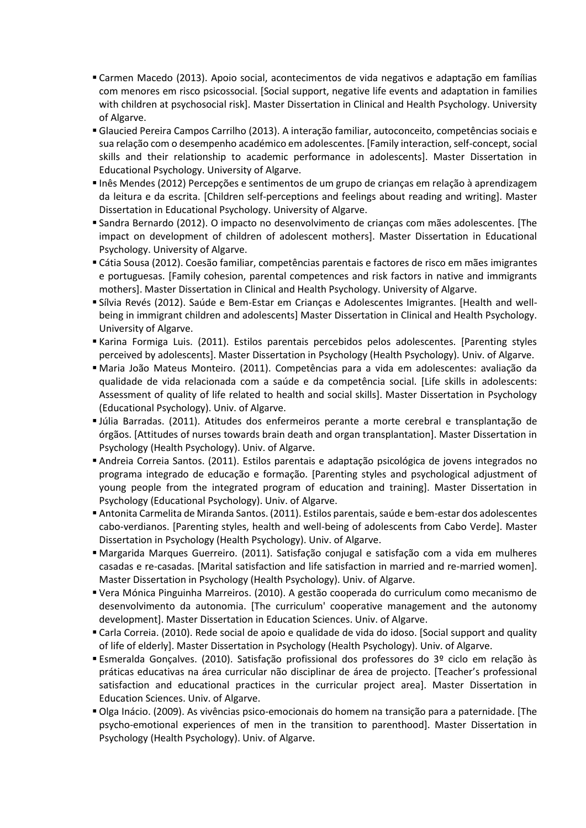- Carmen Macedo (2013). Apoio social, acontecimentos de vida negativos e adaptação em famílias com menores em risco psicossocial. [Social support, negative life events and adaptation in families with children at psychosocial risk]. Master Dissertation in Clinical and Health Psychology. University of Algarve.
- Glaucied Pereira Campos Carrilho (2013). A interação familiar, autoconceito, competências sociais e sua relação com o desempenho académico em adolescentes. [Family interaction, self-concept, social skills and their relationship to academic performance in adolescents]. Master Dissertation in Educational Psychology. University of Algarve.
- Inês Mendes (2012) Percepções e sentimentos de um grupo de crianças em relação à aprendizagem da leitura e da escrita. [Children self-perceptions and feelings about reading and writing]. Master Dissertation in Educational Psychology. University of Algarve.
- Sandra Bernardo (2012). O impacto no desenvolvimento de crianças com mães adolescentes. [The impact on development of children of adolescent mothers]. Master Dissertation in Educational Psychology. University of Algarve.
- Cátia Sousa (2012). Coesão familiar, competências parentais e factores de risco em mães imigrantes e portuguesas. [Family cohesion, parental competences and risk factors in native and immigrants mothers]. Master Dissertation in Clinical and Health Psychology. University of Algarve.
- Sílvia Revés (2012). Saúde e Bem-Estar em Crianças e Adolescentes Imigrantes. [Health and wellbeing in immigrant children and adolescents] Master Dissertation in Clinical and Health Psychology. University of Algarve.
- Karina Formiga Luis. (2011). Estilos parentais percebidos pelos adolescentes. [Parenting styles perceived by adolescents]. Master Dissertation in Psychology (Health Psychology). Univ. of Algarve.
- Maria João Mateus Monteiro. (2011). Competências para a vida em adolescentes: avaliação da qualidade de vida relacionada com a saúde e da competência social. [Life skills in adolescents: Assessment of quality of life related to health and social skills]. Master Dissertation in Psychology (Educational Psychology). Univ. of Algarve.
- Júlia Barradas. (2011). Atitudes dos enfermeiros perante a morte cerebral e transplantação de órgãos. [Attitudes of nurses towards brain death and organ transplantation]. Master Dissertation in Psychology (Health Psychology). Univ. of Algarve.
- Andreia Correia Santos. (2011). Estilos parentais e adaptação psicológica de jovens integrados no programa integrado de educação e formação. [Parenting styles and psychological adjustment of young people from the integrated program of education and training]. Master Dissertation in Psychology (Educational Psychology). Univ. of Algarve.
- Antonita Carmelita de Miranda Santos. (2011). Estilos parentais, saúde e bem-estar dos adolescentes cabo-verdianos. [Parenting styles, health and well-being of adolescents from Cabo Verde]. Master Dissertation in Psychology (Health Psychology). Univ. of Algarve.
- Margarida Marques Guerreiro. (2011). Satisfação conjugal e satisfação com a vida em mulheres casadas e re-casadas. [Marital satisfaction and life satisfaction in married and re-married women]. Master Dissertation in Psychology (Health Psychology). Univ. of Algarve.
- Vera Mónica Pinguinha Marreiros. (2010). A gestão cooperada do curriculum como mecanismo de desenvolvimento da autonomia. [The curriculum' cooperative management and the autonomy development]. Master Dissertation in Education Sciences. Univ. of Algarve.
- Carla Correia. (2010). Rede social de apoio e qualidade de vida do idoso. [Social support and quality of life of elderly]. Master Dissertation in Psychology (Health Psychology). Univ. of Algarve.
- Esmeralda Gonçalves. (2010). Satisfação profissional dos professores do 3º ciclo em relação às práticas educativas na área curricular não disciplinar de área de projecto. [Teacher's professional satisfaction and educational practices in the curricular project area]. Master Dissertation in Education Sciences. Univ. of Algarve.
- Olga Inácio. (2009). As vivências psico-emocionais do homem na transição para a paternidade. [The psycho-emotional experiences of men in the transition to parenthood]. Master Dissertation in Psychology (Health Psychology). Univ. of Algarve.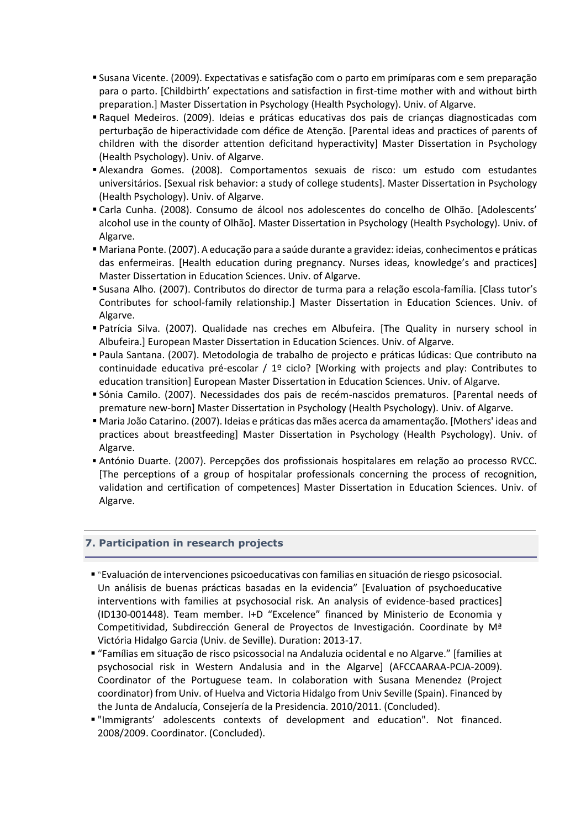- Susana Vicente. (2009). Expectativas e satisfação com o parto em primíparas com e sem preparação para o parto. [Childbirth' expectations and satisfaction in first-time mother with and without birth preparation.] Master Dissertation in Psychology (Health Psychology). Univ. of Algarve.
- Raquel Medeiros. (2009). Ideias e práticas educativas dos pais de crianças diagnosticadas com perturbação de hiperactividade com défice de Atenção. [Parental ideas and practices of parents of children with the disorder attention deficitand hyperactivity] Master Dissertation in Psychology (Health Psychology). Univ. of Algarve.
- Alexandra Gomes. (2008). Comportamentos sexuais de risco: um estudo com estudantes universitários. [Sexual risk behavior: a study of college students]. Master Dissertation in Psychology (Health Psychology). Univ. of Algarve.
- Carla Cunha. (2008). Consumo de álcool nos adolescentes do concelho de Olhão. [Adolescents' alcohol use in the county of Olhão]. Master Dissertation in Psychology (Health Psychology). Univ. of Algarve.
- Mariana Ponte. (2007). A educação para a saúde durante a gravidez: ideias, conhecimentos e práticas das enfermeiras. [Health education during pregnancy. Nurses ideas, knowledge's and practices] Master Dissertation in Education Sciences. Univ. of Algarve.
- Susana Alho. (2007). Contributos do director de turma para a relação escola-família. [Class tutor's Contributes for school-family relationship.] Master Dissertation in Education Sciences. Univ. of Algarve.
- Patrícia Silva. (2007). Qualidade nas creches em Albufeira. [The Quality in nursery school in Albufeira.] European Master Dissertation in Education Sciences. Univ. of Algarve.
- Paula Santana. (2007). Metodologia de trabalho de projecto e práticas lúdicas: Que contributo na continuidade educativa pré-escolar / 1º ciclo? [Working with projects and play: Contributes to education transition] European Master Dissertation in Education Sciences. Univ. of Algarve.
- Sónia Camilo. (2007). Necessidades dos pais de recém-nascidos prematuros. [Parental needs of premature new-born] Master Dissertation in Psychology (Health Psychology). Univ. of Algarve.
- Maria João Catarino. (2007). Ideias e práticas das mães acerca da amamentação. [Mothers' ideas and practices about breastfeeding] Master Dissertation in Psychology (Health Psychology). Univ. of Algarve.
- António Duarte. (2007). Percepções dos profissionais hospitalares em relação ao processo RVCC. [The perceptions of a group of hospitalar professionals concerning the process of recognition, validation and certification of competences] Master Dissertation in Education Sciences. Univ. of Algarve.

# **7. Participation in research projects**

- "Evaluación de intervenciones psicoeducativas con familias en situación de riesgo psicosocial. Un análisis de buenas prácticas basadas en la evidencia" [Evaluation of psychoeducative interventions with families at psychosocial risk. An analysis of evidence-based practices] (ID130-001448). Team member. I+D "Excelence" financed by Ministerio de Economia y Competitividad, Subdirección General de Proyectos de Investigación. Coordinate by Mª Victória Hidalgo Garcia (Univ. de Seville). Duration: 2013-17.
- "Famílias em situação de risco psicossocial na Andaluzia ocidental e no Algarve." [families at psychosocial risk in Western Andalusia and in the Algarve] (AFCCAARAA-PCJA-2009). Coordinator of the Portuguese team. In colaboration with Susana Menendez (Project coordinator) from Univ. of Huelva and Victoria Hidalgo from Univ Seville (Spain). Financed by the Junta de Andalucía, Consejería de la Presidencia. 2010/2011. (Concluded).
- "Immigrants' adolescents contexts of development and education". Not financed. 2008/2009. Coordinator. (Concluded).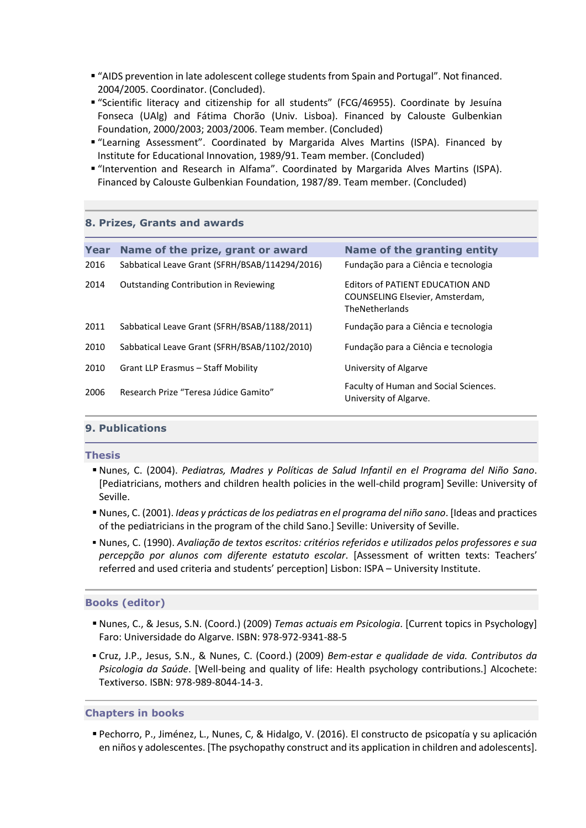- "AIDS prevention in late adolescent college students from Spain and Portugal". Not financed. 2004/2005. Coordinator. (Concluded).
- "Scientific literacy and citizenship for all students" (FCG/46955). Coordinate by Jesuína Fonseca (UAlg) and Fátima Chorão (Univ. Lisboa). Financed by Calouste Gulbenkian Foundation, 2000/2003; 2003/2006. Team member. (Concluded)
- "Learning Assessment". Coordinated by Margarida Alves Martins (ISPA). Financed by Institute for Educational Innovation, 1989/91. Team member. (Concluded)
- "Intervention and Research in Alfama". Coordinated by Margarida Alves Martins (ISPA). Financed by Calouste Gulbenkian Foundation, 1987/89. Team member. (Concluded)

# **8. Prizes, Grants and awards**

| Year | Name of the prize, grant or award              | Name of the granting entity                                                           |
|------|------------------------------------------------|---------------------------------------------------------------------------------------|
| 2016 | Sabbatical Leave Grant (SFRH/BSAB/114294/2016) | Fundação para a Ciência e tecnologia                                                  |
| 2014 | <b>Outstanding Contribution in Reviewing</b>   | Editors of PATIENT EDUCATION AND<br>COUNSELING Elsevier, Amsterdam,<br>TheNetherlands |
| 2011 | Sabbatical Leave Grant (SFRH/BSAB/1188/2011)   | Fundação para a Ciência e tecnologia                                                  |
| 2010 | Sabbatical Leave Grant (SFRH/BSAB/1102/2010)   | Fundação para a Ciência e tecnologia                                                  |
| 2010 | Grant LLP Erasmus – Staff Mobility             | University of Algarve                                                                 |
| 2006 | Research Prize "Teresa Júdice Gamito"          | Faculty of Human and Social Sciences.<br>University of Algarve.                       |

# **9. Publications**

**Thesis**

- Nunes, C. (2004). *Pediatras, Madres y Políticas de Salud Infantil en el Programa del Niño Sano*. [Pediatricians, mothers and children health policies in the well-child program] Seville: University of Seville.
- Nunes, C. (2001). *Ideas y prácticas de los pediatras en el programa del niño sano*. [Ideas and practices of the pediatricians in the program of the child Sano.] Seville: University of Seville.
- Nunes, C. (1990). *Avaliação de textos escritos: critérios referidos e utilizados pelos professores e sua percepção por alunos com diferente estatuto escolar*. [Assessment of written texts: Teachers' referred and used criteria and students' perception] Lisbon: ISPA – University Institute.

# **Books (editor)**

- Nunes, C., & Jesus, S.N. (Coord.) (2009) *Temas actuais em Psicologia*. [Current topics in Psychology] Faro: Universidade do Algarve. ISBN: 978-972-9341-88-5
- Cruz, J.P., Jesus, S.N., & Nunes, C. (Coord.) (2009) *Bem-estar e qualidade de vida. Contributos da Psicologia da Saúde*. [Well-being and quality of life: Health psychology contributions.] Alcochete: Textiverso. ISBN: 978-989-8044-14-3.

#### **Chapters in books**

 Pechorro, P., Jiménez, L., Nunes, C, & Hidalgo, V. (2016). El constructo de psicopatía y su aplicación en niños y adolescentes. [The psychopathy construct and its application in children and adolescents].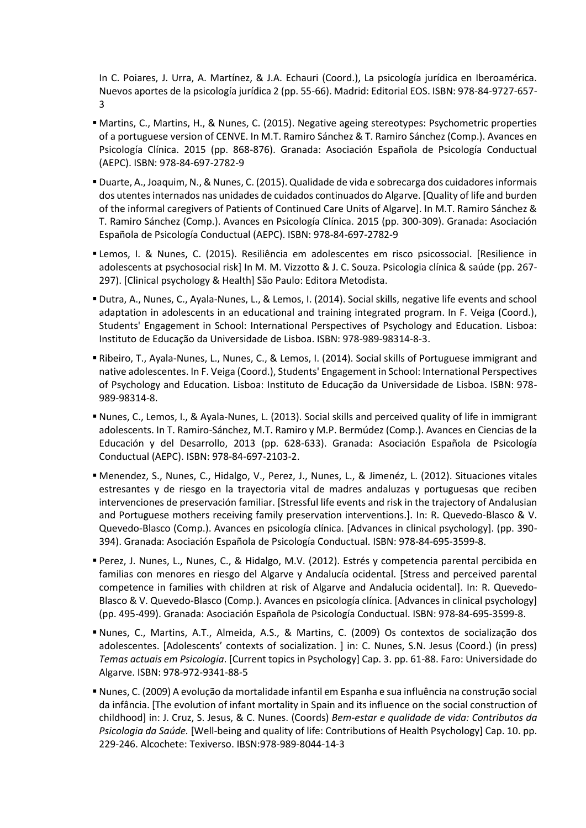In C. Poiares, J. Urra, A. Martínez, & J.A. Echauri (Coord.), La psicología jurídica en Iberoamérica. Nuevos aportes de la psicología jurídica 2 (pp. 55-66). Madrid: Editorial EOS. ISBN: 978-84-9727-657- 3

- Martins, C., Martins, H., & Nunes, C. (2015). Negative ageing stereotypes: Psychometric properties of a portuguese version of CENVE. In M.T. Ramiro Sánchez & T. Ramiro Sánchez (Comp.). Avances en Psicología Clínica. 2015 (pp. 868-876). Granada: Asociación Española de Psicología Conductual (AEPC). ISBN: 978-84-697-2782-9
- Duarte, A., Joaquim, N., & Nunes, C. (2015). Qualidade de vida e sobrecarga dos cuidadores informais dos utentes internados nas unidades de cuidados continuados do Algarve. [Quality of life and burden of the informal caregivers of Patients of Continued Care Units of Algarve]. In M.T. Ramiro Sánchez & T. Ramiro Sánchez (Comp.). Avances en Psicología Clínica. 2015 (pp. 300-309). Granada: Asociación Española de Psicología Conductual (AEPC). ISBN: 978-84-697-2782-9
- Lemos, I. & Nunes, C. (2015). Resiliência em adolescentes em risco psicossocial. [Resilience in adolescents at psychosocial risk] In M. M. Vizzotto & J. C. Souza. Psicologia clínica & saúde (pp. 267- 297). [Clinical psychology & Health] São Paulo: Editora Metodista.
- Dutra, A., Nunes, C., Ayala-Nunes, L., & Lemos, I. (2014). Social skills, negative life events and school adaptation in adolescents in an educational and training integrated program. In F. Veiga (Coord.), Students' Engagement in School: International Perspectives of Psychology and Education. Lisboa: Instituto de Educação da Universidade de Lisboa. ISBN: 978-989-98314-8-3.
- Ribeiro, T., Ayala-Nunes, L., Nunes, C., & Lemos, I. (2014). Social skills of Portuguese immigrant and native adolescentes. In F. Veiga (Coord.), Students' Engagement in School: International Perspectives of Psychology and Education. Lisboa: Instituto de Educação da Universidade de Lisboa. ISBN: 978- 989-98314-8.
- Nunes, C., Lemos, I., & Ayala-Nunes, L. (2013). Social skills and perceived quality of life in immigrant adolescents. In T. Ramiro-Sánchez, M.T. Ramiro y M.P. Bermúdez (Comp.). Avances en Ciencias de la Educación y del Desarrollo, 2013 (pp. 628-633). Granada: Asociación Española de Psicología Conductual (AEPC). ISBN: 978-84-697-2103-2.
- Menendez, S., Nunes, C., Hidalgo, V., Perez, J., Nunes, L., & Jimenéz, L. (2012). Situaciones vitales estresantes y de riesgo en la trayectoria vital de madres andaluzas y portuguesas que reciben intervenciones de preservación familiar. [Stressful life events and risk in the trajectory of Andalusian and Portuguese mothers receiving family preservation interventions.]. In: R. Quevedo-Blasco & V. Quevedo-Blasco (Comp.). Avances en psicología clínica. [Advances in clinical psychology]. (pp. 390- 394). Granada: Asociación Española de Psicología Conductual. ISBN: 978-84-695-3599-8.
- Perez, J. Nunes, L., Nunes, C., & Hidalgo, M.V. (2012). Estrés y competencia parental percibida en familias con menores en riesgo del Algarve y Andalucía ocidental. [Stress and perceived parental competence in families with children at risk of Algarve and Andalucia ocidental]. In: R. Quevedo-Blasco & V. Quevedo-Blasco (Comp.). Avances en psicología clínica. [Advances in clinical psychology] (pp. 495-499). Granada: Asociación Española de Psicología Conductual. ISBN: 978-84-695-3599-8.
- Nunes, C., Martins, A.T., Almeida, A.S., & Martins, C. (2009) Os contextos de socialização dos adolescentes. [Adolescents' contexts of socialization. ] in: C. Nunes, S.N. Jesus (Coord.) (in press) *Temas actuais em Psicologia*. [Current topics in Psychology] Cap. 3. pp. 61-88. Faro: Universidade do Algarve. ISBN: 978-972-9341-88-5
- Nunes, C. (2009) A evolução da mortalidade infantil em Espanha e sua influência na construção social da infância. [The evolution of infant mortality in Spain and its influence on the social construction of childhood] in: J. Cruz, S. Jesus, & C. Nunes. (Coords) *Bem-estar e qualidade de vida: Contributos da Psicologia da Saúde.* [Well-being and quality of life: Contributions of Health Psychology] Cap. 10. pp. 229-246. Alcochete: Texiverso. IBSN:978-989-8044-14-3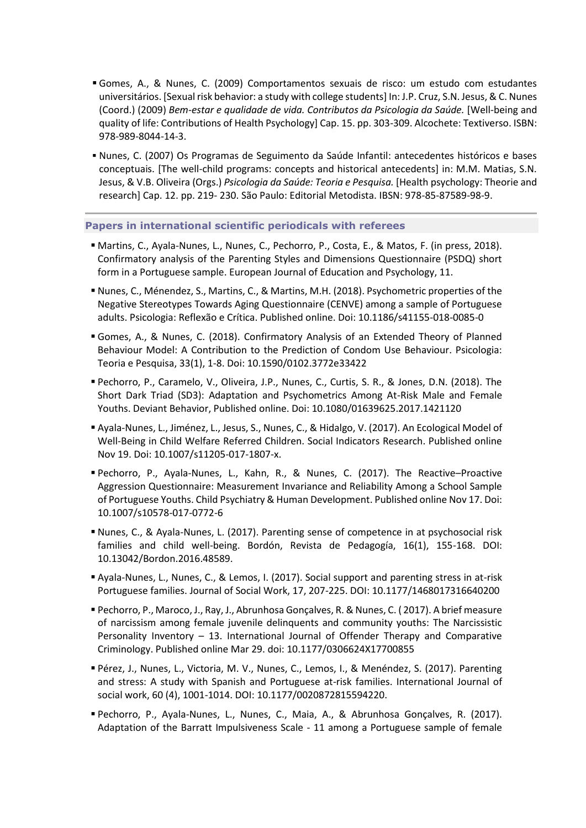- Gomes, A., & Nunes, C. (2009) Comportamentos sexuais de risco: um estudo com estudantes universitários. [Sexual risk behavior: a study with college students] In: J.P. Cruz, S.N. Jesus, & C. Nunes (Coord.) (2009) *Bem-estar e qualidade de vida. Contributos da Psicologia da Saúde.* [Well-being and quality of life: Contributions of Health Psychology] Cap. 15. pp. 303-309. Alcochete: Textiverso. ISBN: 978-989-8044-14-3.
- Nunes, C. (2007) Os Programas de Seguimento da Saúde Infantil: antecedentes históricos e bases conceptuais. [The well-child programs: concepts and historical antecedents] in: M.M. Matias, S.N. Jesus, & V.B. Oliveira (Orgs.) *Psicologia da Saúde: Teoria e Pesquisa.* [Health psychology: Theorie and research] Cap. 12. pp. 219- 230. São Paulo: Editorial Metodista. IBSN: 978-85-87589-98-9.

#### **Papers in international scientific periodicals with referees**

- Martins, C., Ayala-Nunes, L., Nunes, C., Pechorro, P., Costa, E., & Matos, F. (in press, 2018). Confirmatory analysis of the Parenting Styles and Dimensions Questionnaire (PSDQ) short form in a Portuguese sample. European Journal of Education and Psychology, 11.
- Nunes, C., Ménendez, S., Martins, C., & Martins, M.H. (2018). Psychometric properties of the Negative Stereotypes Towards Aging Questionnaire (CENVE) among a sample of Portuguese adults. Psicologia: Reflexão e Crítica. Published online. Doi: 10.1186/s41155-018-0085-0
- Gomes, A., & Nunes, C. (2018). Confirmatory Analysis of an Extended Theory of Planned Behaviour Model: A Contribution to the Prediction of Condom Use Behaviour. Psicologia: Teoria e Pesquisa, 33(1), 1-8. Doi: 10.1590/0102.3772e33422
- Pechorro, P., Caramelo, V., Oliveira, J.P., Nunes, C., Curtis, S. R., & Jones, D.N. (2018). The Short Dark Triad (SD3): Adaptation and Psychometrics Among At-Risk Male and Female Youths. Deviant Behavior, Published online. Doi: 10.1080/01639625.2017.1421120
- Ayala-Nunes, L., Jiménez, L., Jesus, S., Nunes, C., & Hidalgo, V. (2017). An Ecological Model of Well-Being in Child Welfare Referred Children. Social Indicators Research. Published online Nov 19. Doi: 10.1007/s11205-017-1807-x.
- Pechorro, P., Ayala-Nunes, L., Kahn, R., & Nunes, C. (2017). The Reactive–Proactive Aggression Questionnaire: Measurement Invariance and Reliability Among a School Sample of Portuguese Youths. Child Psychiatry & Human Development. Published online Nov 17. Doi: 10.1007/s10578-017-0772-6
- Nunes, C., & Ayala-Nunes, L. (2017). Parenting sense of competence in at psychosocial risk families and child well-being. Bordón, Revista de Pedagogía, 16(1), 155-168. DOI: 10.13042/Bordon.2016.48589.
- Ayala-Nunes, L., Nunes, C., & Lemos, I. (2017). Social support and parenting stress in at-risk Portuguese families. Journal of Social Work, 17, 207-225. DOI: 10.1177/1468017316640200
- Pechorro, P., Maroco, J., Ray, J., Abrunhosa Gonçalves, R. & Nunes, C. ( 2017). A brief measure of narcissism among female juvenile delinquents and community youths: The Narcissistic Personality Inventory – 13. International Journal of Offender Therapy and Comparative Criminology. Published online Mar 29. doi: 10.1177/0306624X17700855
- Pérez, J., Nunes, L., Victoria, M. V., Nunes, C., Lemos, I., & Menéndez, S. (2017). Parenting and stress: A study with Spanish and Portuguese at-risk families. International Journal of social work, 60 (4), 1001-1014. DOI: 10.1177/0020872815594220.
- Pechorro, P., Ayala-Nunes, L., Nunes, C., Maia, A., & Abrunhosa Gonçalves, R. (2017). Adaptation of the Barratt Impulsiveness Scale - 11 among a Portuguese sample of female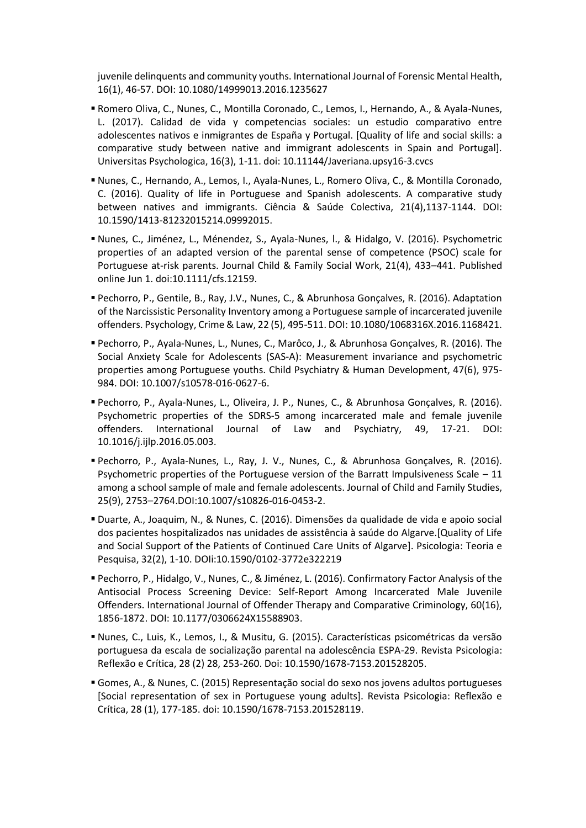juvenile delinquents and community youths. International Journal of Forensic Mental Health, 16(1), 46-57. DOI: 10.1080/14999013.2016.1235627

- Romero Oliva, C., Nunes, C., Montilla Coronado, C., Lemos, I., Hernando, A., & Ayala-Nunes, L. (2017). Calidad de vida y competencias sociales: un estudio comparativo entre adolescentes nativos e inmigrantes de España y Portugal. [Quality of life and social skills: a comparative study between native and immigrant adolescents in Spain and Portugal]. Universitas Psychologica, 16(3), 1-11. doi: 10.11144/Javeriana.upsy16-3.cvcs
- Nunes, C., Hernando, A., Lemos, I., Ayala-Nunes, L., Romero Oliva, C., & Montilla Coronado, C. (2016). Quality of life in Portuguese and Spanish adolescents. A comparative study between natives and immigrants. Ciência & Saúde Colectiva, 21(4),1137-1144. DOI: 10.1590/1413-81232015214.09992015.
- Nunes, C., Jiménez, L., Ménendez, S., Ayala-Nunes, l., & Hidalgo, V. (2016). Psychometric properties of an adapted version of the parental sense of competence (PSOC) scale for Portuguese at-risk parents. Journal Child & Family Social Work, 21(4), 433–441. Published online Jun 1. doi:10.1111/cfs.12159.
- Pechorro, P., Gentile, B., Ray, J.V., Nunes, C., & Abrunhosa Gonçalves, R. (2016). Adaptation of the Narcissistic Personality Inventory among a Portuguese sample of incarcerated juvenile offenders. Psychology, Crime & Law, 22 (5), 495-511. DOI: 10.1080/1068316X.2016.1168421.
- Pechorro, P., Ayala-Nunes, L., Nunes, C., Marôco, J., & Abrunhosa Gonçalves, R. (2016). The Social Anxiety Scale for Adolescents (SAS-A): Measurement invariance and psychometric properties among Portuguese youths. Child Psychiatry & Human Development, 47(6), 975- 984. DOI: 10.1007/s10578-016-0627-6.
- Pechorro, P., Ayala-Nunes, L., Oliveira, J. P., Nunes, C., & Abrunhosa Gonçalves, R. (2016). Psychometric properties of the SDRS-5 among incarcerated male and female juvenile offenders. International Journal of Law and Psychiatry, 49, 17-21. DOI: 10.1016/j.ijlp.2016.05.003.
- Pechorro, P., Ayala-Nunes, L., Ray, J. V., Nunes, C., & Abrunhosa Gonçalves, R. (2016). Psychometric properties of the Portuguese version of the Barratt Impulsiveness Scale  $-11$ among a school sample of male and female adolescents. Journal of Child and Family Studies, 25(9), 2753–2764.DOI:10.1007/s10826-016-0453-2.
- Duarte, A., Joaquim, N., & Nunes, C. (2016). Dimensões da qualidade de vida e apoio social dos pacientes hospitalizados nas unidades de assistência à saúde do Algarve.[Quality of Life and Social Support of the Patients of Continued Care Units of Algarve]. Psicologia: Teoria e Pesquisa, 32(2), 1-10. DOIi:10.1590/0102-3772e322219
- Pechorro, P., Hidalgo, V., Nunes, C., & Jiménez, L. (2016). Confirmatory Factor Analysis of the Antisocial Process Screening Device: Self-Report Among Incarcerated Male Juvenile Offenders. International Journal of Offender Therapy and Comparative Criminology, 60(16), 1856-1872. DOI: 10.1177/0306624X15588903.
- Nunes, C., Luis, K., Lemos, I., & Musitu, G. (2015). Características psicométricas da versão portuguesa da escala de socialização parental na adolescência ESPA-29. Revista Psicologia: Reflexão e Crítica, 28 (2) 28, 253-260. Doi: 10.1590/1678-7153.201528205.
- Gomes, A., & Nunes, C. (2015) Representação social do sexo nos jovens adultos portugueses [Social representation of sex in Portuguese young adults]. Revista Psicologia: Reflexão e Crítica, 28 (1), 177-185. doi: 10.1590/1678-7153.201528119.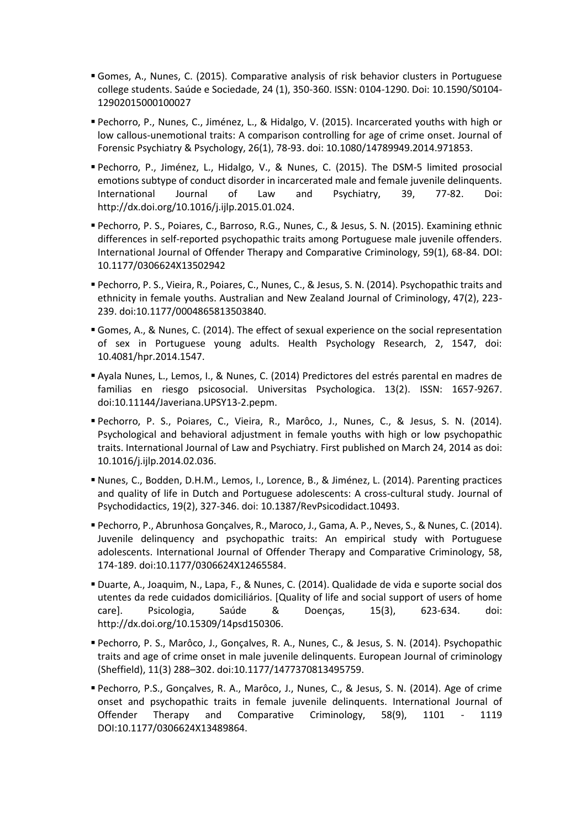- Gomes, A., Nunes, C. (2015). Comparative analysis of risk behavior clusters in Portuguese college students. Saúde e Sociedade, 24 (1), 350-360. ISSN: 0104-1290. Doi: 10.1590/S0104- 12902015000100027
- Pechorro, P., Nunes, C., Jiménez, L., & Hidalgo, V. (2015). Incarcerated youths with high or low callous-unemotional traits: A comparison controlling for age of crime onset. Journal of Forensic Psychiatry & Psychology, 26(1), 78-93. doi: 10.1080/14789949.2014.971853.
- Pechorro, P., Jiménez, L., Hidalgo, V., & Nunes, C. (2015). The DSM-5 limited prosocial emotions subtype of conduct disorder in incarcerated male and female juvenile delinquents. International Journal of Law and Psychiatry, 39, 77-82. Doi: http://dx.doi.org/10.1016/j.ijlp.2015.01.024.
- Pechorro, P. S., Poiares, C., Barroso, R.G., Nunes, C., & Jesus, S. N. (2015). Examining ethnic differences in self-reported psychopathic traits among Portuguese male juvenile offenders. International Journal of Offender Therapy and Comparative Criminology, 59(1), 68-84. DOI: 10.1177/0306624X13502942
- Pechorro, P. S., Vieira, R., Poiares, C., Nunes, C., & Jesus, S. N. (2014). Psychopathic traits and ethnicity in female youths. Australian and New Zealand Journal of Criminology, 47(2), 223- 239. doi:10.1177/0004865813503840.
- Gomes, A., & Nunes, C. (2014). The effect of sexual experience on the social representation of sex in Portuguese young adults. Health Psychology Research, 2, 1547, doi: 10.4081/hpr.2014.1547.
- Ayala Nunes, L., Lemos, I., & Nunes, C. (2014) Predictores del estrés parental en madres de familias en riesgo psicosocial. Universitas Psychologica. 13(2). ISSN: 1657-9267. doi:10.11144/Javeriana.UPSY13-2.pepm.
- Pechorro, P. S., Poiares, C., Vieira, R., Marôco, J., Nunes, C., & Jesus, S. N. (2014). Psychological and behavioral adjustment in female youths with high or low psychopathic traits. International Journal of Law and Psychiatry. First published on March 24, 2014 as doi: 10.1016/j.ijlp.2014.02.036.
- Nunes, C., Bodden, D.H.M., Lemos, I., Lorence, B., & Jiménez, L. (2014). Parenting practices and quality of life in Dutch and Portuguese adolescents: A cross-cultural study. Journal of Psychodidactics, 19(2), 327-346. doi: 10.1387/RevPsicodidact.10493.
- Pechorro, P., Abrunhosa Gonçalves, R., Maroco, J., Gama, A. P., Neves, S., & Nunes, C. (2014). Juvenile delinquency and psychopathic traits: An empirical study with Portuguese adolescents. International Journal of Offender Therapy and Comparative Criminology, 58, 174-189. doi:10.1177/0306624X12465584.
- Duarte, A., Joaquim, N., Lapa, F., & Nunes, C. (2014). Qualidade de vida e suporte social dos utentes da rede cuidados domiciliários. [Quality of life and social support of users of home care]. Psicologia, Saúde & Doenças, 15(3), 623-634. doi: http://dx.doi.org/10.15309/14psd150306.
- Pechorro, P. S., Marôco, J., Gonçalves, R. A., Nunes, C., & Jesus, S. N. (2014). Psychopathic traits and age of crime onset in male juvenile delinquents. European Journal of criminology (Sheffield), 11(3) 288–302. doi:10.1177/1477370813495759.
- Pechorro, P.S., Gonçalves, R. A., Marôco, J., Nunes, C., & Jesus, S. N. (2014). Age of crime onset and psychopathic traits in female juvenile delinquents. International Journal of Offender Therapy and Comparative Criminology, 58(9), 1101 - 1119 DOI:10.1177/0306624X13489864.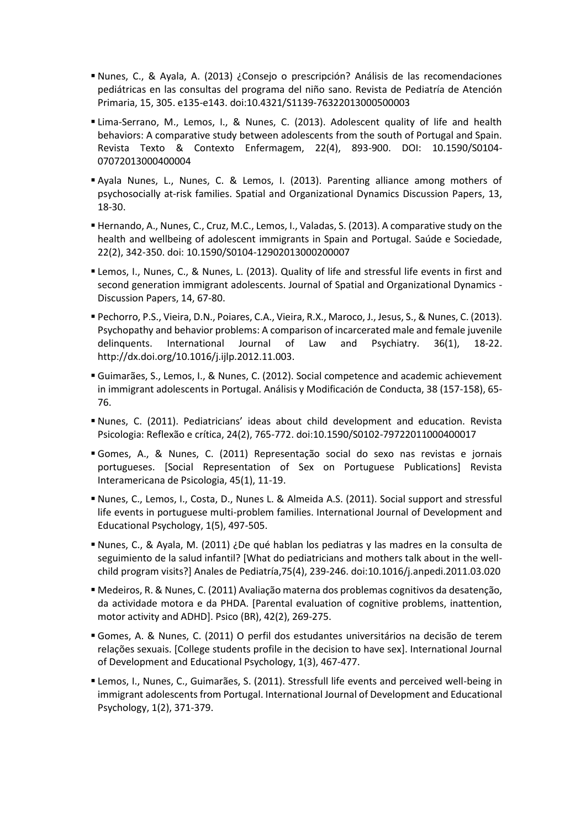- Nunes, C., & Ayala, A. (2013) ¿Consejo o prescripción? Análisis de las recomendaciones pediátricas en las consultas del programa del niño sano. Revista de Pediatría de Atención Primaria, 15, 305. e135-e143. doi:10.4321/S1139-76322013000500003
- Lima-Serrano, M., Lemos, I., & Nunes, C. (2013). Adolescent quality of life and health behaviors: A comparative study between adolescents from the south of Portugal and Spain. Revista Texto & Contexto Enfermagem, 22(4), 893-900. DOI: 10.1590/S0104- 07072013000400004
- Ayala Nunes, L., Nunes, C. & Lemos, I. (2013). Parenting alliance among mothers of psychosocially at-risk families. Spatial and Organizational Dynamics Discussion Papers, 13, 18-30.
- Hernando, A., Nunes, C., Cruz, M.C., Lemos, I., Valadas, S. (2013). A comparative study on the health and wellbeing of adolescent immigrants in Spain and Portugal. Saúde e Sociedade, 22(2), 342-350. doi: 10.1590/S0104-12902013000200007
- Lemos, I., Nunes, C., & Nunes, L. (2013). Quality of life and stressful life events in first and second generation immigrant adolescents. Journal of Spatial and Organizational Dynamics - Discussion Papers, 14, 67-80.
- Pechorro, P.S., Vieira, D.N., Poiares, C.A., Vieira, R.X., Maroco, J., Jesus, S., & Nunes, C. (2013). Psychopathy and behavior problems: A comparison of incarcerated male and female juvenile delinquents. International Journal of Law and Psychiatry. 36(1), 18-22. http://dx.doi.org/10.1016/j.ijlp.2012.11.003.
- Guimarães, S., Lemos, I., & Nunes, C. (2012). Social competence and academic achievement in immigrant adolescents in Portugal. Análisis y Modificación de Conducta, 38 (157-158), 65- 76.
- Nunes, C. (2011). Pediatricians' ideas about child development and education. Revista Psicologia: Reflexão e crítica, 24(2), 765-772. doi:10.1590/S0102-79722011000400017
- Gomes, A., & Nunes, C. (2011) Representação social do sexo nas revistas e jornais portugueses. [Social Representation of Sex on Portuguese Publications] Revista Interamericana de Psicologia, 45(1), 11-19.
- Nunes, C., Lemos, I., Costa, D., Nunes L. & Almeida A.S. (2011). Social support and stressful life events in portuguese multi-problem families. International Journal of Development and Educational Psychology, 1(5), 497-505.
- Nunes, C., & Ayala, M. (2011) ¿De qué hablan los pediatras y las madres en la consulta de seguimiento de la salud infantil? [What do pediatricians and mothers talk about in the wellchild program visits?] Anales de Pediatría,75(4), 239-246. doi:10.1016/j.anpedi.2011.03.020
- Medeiros, R. & Nunes, C. (2011) Avaliação materna dos problemas cognitivos da desatenção, da actividade motora e da PHDA. [Parental evaluation of cognitive problems, inattention, motor activity and ADHD]. Psico (BR), 42(2), 269-275.
- Gomes, A. & Nunes, C. (2011) O perfil dos estudantes universitários na decisão de terem relações sexuais. [College students profile in the decision to have sex]. International Journal of Development and Educational Psychology, 1(3), 467-477.
- Lemos, I., Nunes, C., Guimarães, S. (2011). Stressfull life events and perceived well-being in immigrant adolescents from Portugal. International Journal of Development and Educational Psychology, 1(2), 371-379.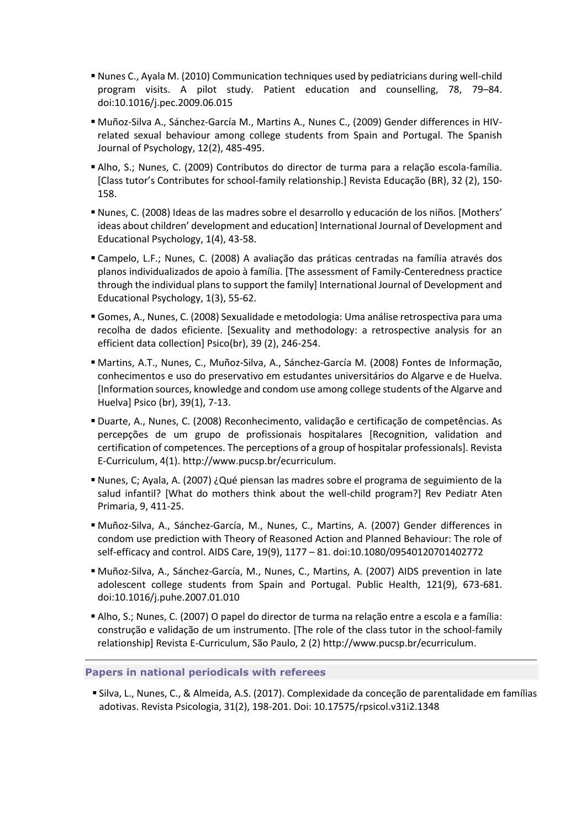- Nunes C., Ayala M. (2010) Communication techniques used by pediatricians during well-child program visits. A pilot study. Patient education and counselling, 78, 79–84. doi:10.1016/j.pec.2009.06.015
- Muñoz-Silva A., Sánchez-García M., Martins A., Nunes C., (2009) Gender differences in HIVrelated sexual behaviour among college students from Spain and Portugal. The Spanish Journal of Psychology, 12(2), 485-495.
- Alho, S.; Nunes, C. (2009) Contributos do director de turma para a relação escola-família. [Class tutor's Contributes for school-family relationship.] Revista Educação (BR), 32 (2), 150- 158.
- Nunes, C. (2008) Ideas de las madres sobre el desarrollo y educación de los niños. [Mothers' ideas about children' development and education] International Journal of Development and Educational Psychology, 1(4), 43-58.
- Campelo, L.F.; Nunes, C. (2008) A avaliação das práticas centradas na família através dos planos individualizados de apoio à família. [The assessment of Family-Centeredness practice through the individual plans to support the family] International Journal of Development and Educational Psychology, 1(3), 55-62.
- Gomes, A., Nunes, C. (2008) Sexualidade e metodologia: Uma análise retrospectiva para uma recolha de dados eficiente. [Sexuality and methodology: a retrospective analysis for an efficient data collection] Psico(br), 39 (2), 246-254.
- Martins, A.T., Nunes, C., Muñoz-Silva, A., Sánchez-García M. (2008) Fontes de Informação, conhecimentos e uso do preservativo em estudantes universitários do Algarve e de Huelva. [Information sources, knowledge and condom use among college students of the Algarve and Huelva] Psico (br), 39(1), 7-13.
- Duarte, A., Nunes, C. (2008) Reconhecimento, validação e certificação de competências. As percepções de um grupo de profissionais hospitalares [Recognition, validation and certification of competences. The perceptions of a group of hospitalar professionals]. Revista E-Curriculum, 4(1). http://www.pucsp.br/ecurriculum.
- Nunes, C; Ayala, A. (2007) ¿Qué piensan las madres sobre el programa de seguimiento de la salud infantil? [What do mothers think about the well-child program?] Rev Pediatr Aten Primaria, 9, 411-25.
- Muñoz-Silva, A., Sánchez-García, M., Nunes, C., Martins, A. (2007) Gender differences in condom use prediction with Theory of Reasoned Action and Planned Behaviour: The role of self-efficacy and control. AIDS Care, 19(9), 1177 – 81. doi:10.1080/09540120701402772
- Muñoz-Silva, A., Sánchez-García, M., Nunes, C., Martins, A. (2007) AIDS prevention in late adolescent college students from Spain and Portugal. Public Health, 121(9), 673-681. doi:10.1016/j.puhe.2007.01.010
- Alho, S.; Nunes, C. (2007) O papel do director de turma na relação entre a escola e a família: construção e validação de um instrumento. [The role of the class tutor in the school-family relationship] Revista E-Curriculum, São Paulo, 2 (2) http://www.pucsp.br/ecurriculum.

# **Papers in national periodicals with referees**

 Silva, L., Nunes, C., & Almeida, A.S. (2017). Complexidade da conceção de parentalidade em famílias adotivas. Revista Psicologia, 31(2), 198-201. Doi: 10.17575/rpsicol.v31i2.1348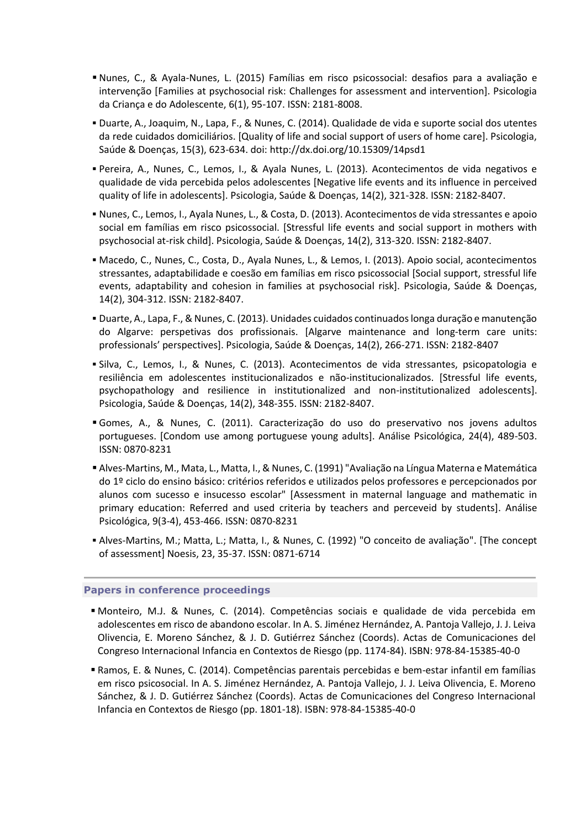- Nunes, C., & Ayala-Nunes, L. (2015) Famílias em risco psicossocial: desafios para a avaliação e intervenção [Families at psychosocial risk: Challenges for assessment and intervention]. Psicologia da Criança e do Adolescente, 6(1), 95-107. ISSN: 2181-8008.
- Duarte, A., Joaquim, N., Lapa, F., & Nunes, C. (2014). Qualidade de vida e suporte social dos utentes da rede cuidados domiciliários. [Quality of life and social support of users of home care]. Psicologia, Saúde & Doenças, 15(3), 623-634. doi: http://dx.doi.org/10.15309/14psd1
- Pereira, A., Nunes, C., Lemos, I., & Ayala Nunes, L. (2013). Acontecimentos de vida negativos e qualidade de vida percebida pelos adolescentes [Negative life events and its influence in perceived quality of life in adolescents]. Psicologia, Saúde & Doenças, 14(2), 321-328. ISSN: 2182-8407.
- Nunes, C., Lemos, I., Ayala Nunes, L., & Costa, D. (2013). Acontecimentos de vida stressantes e apoio social em famílias em risco psicossocial. [Stressful life events and social support in mothers with psychosocial at-risk child]. Psicologia, Saúde & Doenças, 14(2), 313-320. ISSN: 2182-8407.
- Macedo, C., Nunes, C., Costa, D., Ayala Nunes, L., & Lemos, I. (2013). Apoio social, acontecimentos stressantes, adaptabilidade e coesão em famílias em risco psicossocial [Social support, stressful life events, adaptability and cohesion in families at psychosocial risk]. Psicologia, Saúde & Doenças, 14(2), 304-312. ISSN: 2182-8407.
- Duarte, A., Lapa, F., & Nunes, C. (2013). Unidades cuidados continuados longa duração e manutenção do Algarve: perspetivas dos profissionais. [Algarve maintenance and long-term care units: professionals' perspectives]. Psicologia, Saúde & Doenças, 14(2), 266-271. ISSN: 2182-8407
- Silva, C., Lemos, I., & Nunes, C. (2013). Acontecimentos de vida stressantes, psicopatologia e resiliência em adolescentes institucionalizados e não-institucionalizados. [Stressful life events, psychopathology and resilience in institutionalized and non-institutionalized adolescents]. Psicologia, Saúde & Doenças, 14(2), 348-355. ISSN: 2182-8407.
- Gomes, A., & Nunes, C. (2011). Caracterização do uso do preservativo nos jovens adultos portugueses. [Condom use among portuguese young adults]. Análise Psicológica, 24(4), 489-503. ISSN: 0870-8231
- Alves-Martins, M., Mata, L., Matta, I., & Nunes, C. (1991) "Avaliação na Língua Materna e Matemática do 1º ciclo do ensino básico: critérios referidos e utilizados pelos professores e percepcionados por alunos com sucesso e insucesso escolar" [Assessment in maternal language and mathematic in primary education: Referred and used criteria by teachers and perceveid by students]. Análise Psicológica, 9(3-4), 453-466. ISSN: 0870-8231
- Alves-Martins, M.; Matta, L.; Matta, I., & Nunes, C. (1992) "O conceito de avaliação". [The concept of assessment] Noesis, 23, 35-37. ISSN: 0871-6714

# **Papers in conference proceedings**

- Monteiro, M.J. & Nunes, C. (2014). Competências sociais e qualidade de vida percebida em adolescentes em risco de abandono escolar. In A. S. Jiménez Hernández, A. Pantoja Vallejo, J. J. Leiva Olivencia, E. Moreno Sánchez, & J. D. Gutiérrez Sánchez (Coords). Actas de Comunicaciones del Congreso Internacional Infancia en Contextos de Riesgo (pp. 1174-84). ISBN: 978-84-15385-40-0
- Ramos, E. & Nunes, C. (2014). Competências parentais percebidas e bem-estar infantil em famílias em risco psicosocial. In A. S. Jiménez Hernández, A. Pantoja Vallejo, J. J. Leiva Olivencia, E. Moreno Sánchez, & J. D. Gutiérrez Sánchez (Coords). Actas de Comunicaciones del Congreso Internacional Infancia en Contextos de Riesgo (pp. 1801-18). ISBN: 978-84-15385-40-0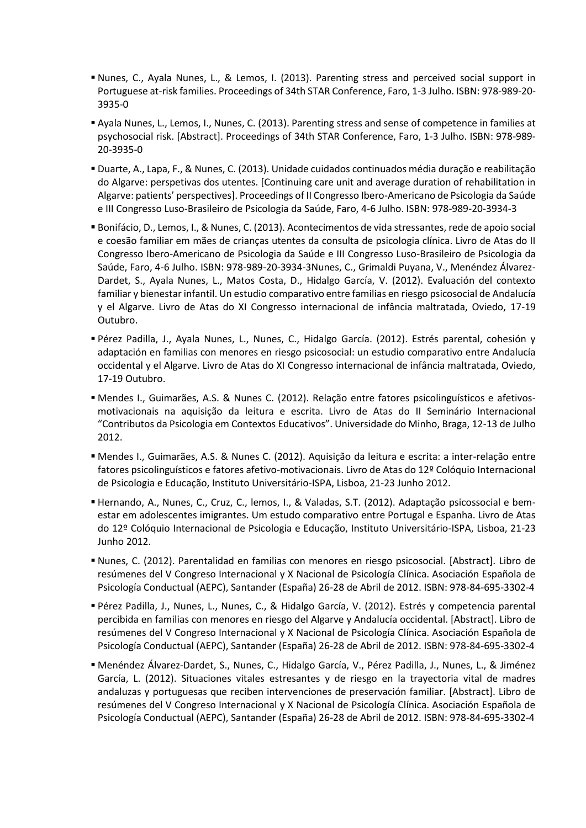- Nunes, C., Ayala Nunes, L., & Lemos, I. (2013). Parenting stress and perceived social support in Portuguese at-risk families. Proceedings of 34th STAR Conference, Faro, 1-3 Julho. ISBN: 978-989-20- 3935-0
- Ayala Nunes, L., Lemos, I., Nunes, C. (2013). Parenting stress and sense of competence in families at psychosocial risk. [Abstract]. Proceedings of 34th STAR Conference, Faro, 1-3 Julho. ISBN: 978-989- 20-3935-0
- Duarte, A., Lapa, F., & Nunes, C. (2013). Unidade cuidados continuados média duração e reabilitação do Algarve: perspetivas dos utentes. [Continuing care unit and average duration of rehabilitation in Algarve: patients' perspectives]. Proceedings of II Congresso Ibero-Americano de Psicologia da Saúde e III Congresso Luso-Brasileiro de Psicologia da Saúde, Faro, 4-6 Julho. ISBN: 978-989-20-3934-3
- Bonifácio, D., Lemos, I., & Nunes, C. (2013). Acontecimentos de vida stressantes, rede de apoio social e coesão familiar em mães de crianças utentes da consulta de psicologia clínica. Livro de Atas do II Congresso Ibero-Americano de Psicologia da Saúde e III Congresso Luso-Brasileiro de Psicologia da Saúde, Faro, 4-6 Julho. ISBN: 978-989-20-3934-3Nunes, C., Grimaldi Puyana, V., Menéndez Álvarez-Dardet, S., Ayala Nunes, L., Matos Costa, D., Hidalgo García, V. (2012). Evaluación del contexto familiar y bienestar infantil. Un estudio comparativo entre familias en riesgo psicosocial de Andalucía y el Algarve. Livro de Atas do XI Congresso internacional de infância maltratada, Oviedo, 17-19 Outubro.
- Pérez Padilla, J., Ayala Nunes, L., Nunes, C., Hidalgo García. (2012). Estrés parental, cohesión y adaptación en familias con menores en riesgo psicosocial: un estudio comparativo entre Andalucía occidental y el Algarve. Livro de Atas do XI Congresso internacional de infância maltratada, Oviedo, 17-19 Outubro.
- Mendes I., Guimarães, A.S. & Nunes C. (2012). Relação entre fatores psicolinguísticos e afetivosmotivacionais na aquisição da leitura e escrita. Livro de Atas do II Seminário Internacional "Contributos da Psicologia em Contextos Educativos". Universidade do Minho, Braga, 12-13 de Julho 2012.
- Mendes I., Guimarães, A.S. & Nunes C. (2012). Aquisição da leitura e escrita: a inter-relação entre fatores psicolinguísticos e fatores afetivo-motivacionais. Livro de Atas do 12º Colóquio Internacional de Psicologia e Educação, Instituto Universitário-ISPA, Lisboa, 21-23 Junho 2012.
- Hernando, A., Nunes, C., Cruz, C., lemos, I., & Valadas, S.T. (2012). Adaptação psicossocial e bemestar em adolescentes imigrantes. Um estudo comparativo entre Portugal e Espanha. Livro de Atas do 12º Colóquio Internacional de Psicologia e Educação, Instituto Universitário-ISPA, Lisboa, 21-23 Junho 2012.
- Nunes, C. (2012). Parentalidad en familias con menores en riesgo psicosocial. [Abstract]. Libro de resúmenes del V Congreso Internacional y X Nacional de Psicología Clínica. Asociación Española de Psicología Conductual (AEPC), Santander (España) 26-28 de Abril de 2012. ISBN: 978-84-695-3302-4
- Pérez Padilla, J., Nunes, L., Nunes, C., & Hidalgo García, V. (2012). Estrés y competencia parental percibida en familias con menores en riesgo del Algarve y Andalucía occidental. [Abstract]. Libro de resúmenes del V Congreso Internacional y X Nacional de Psicología Clínica. Asociación Española de Psicología Conductual (AEPC), Santander (España) 26-28 de Abril de 2012. ISBN: 978-84-695-3302-4
- Menéndez Álvarez-Dardet, S., Nunes, C., Hidalgo García, V., Pérez Padilla, J., Nunes, L., & Jiménez García, L. (2012). Situaciones vitales estresantes y de riesgo en la trayectoria vital de madres andaluzas y portuguesas que reciben intervenciones de preservación familiar. [Abstract]. Libro de resúmenes del V Congreso Internacional y X Nacional de Psicología Clínica. Asociación Española de Psicología Conductual (AEPC), Santander (España) 26-28 de Abril de 2012. ISBN: 978-84-695-3302-4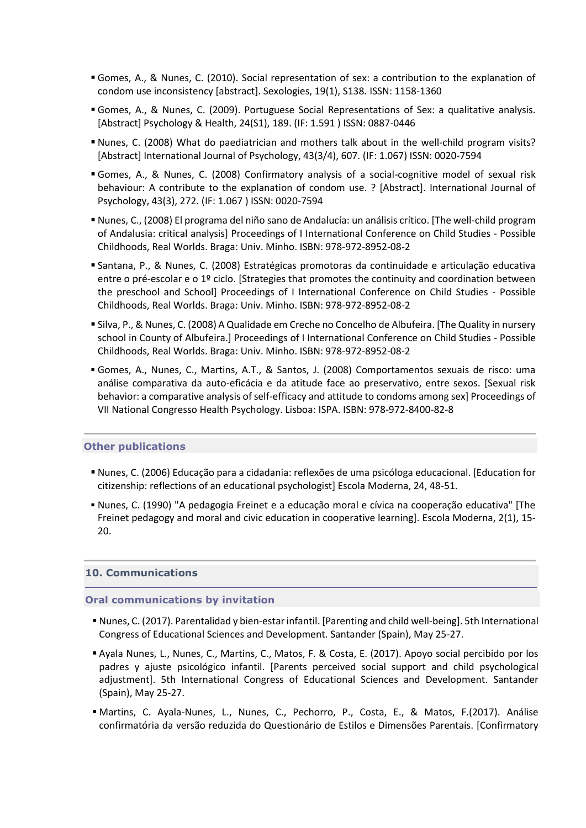- Gomes, A., & Nunes, C. (2010). Social representation of sex: a contribution to the explanation of condom use inconsistency [abstract]. Sexologies, 19(1), S138. ISSN: 1158-1360
- Gomes, A., & Nunes, C. (2009). Portuguese Social Representations of Sex: a qualitative analysis. [Abstract] Psychology & Health, 24(S1), 189. (IF: 1.591 ) ISSN: 0887-0446
- Nunes, C. (2008) What do paediatrician and mothers talk about in the well-child program visits? [Abstract] International Journal of Psychology, 43(3/4), 607. (IF: 1.067) ISSN: 0020-7594
- Gomes, A., & Nunes, C. (2008) Confirmatory analysis of a social-cognitive model of sexual risk behaviour: A contribute to the explanation of condom use. ? [Abstract]. International Journal of Psychology, 43(3), 272. (IF: 1.067 ) ISSN: 0020-7594
- Nunes, C., (2008) El programa del niño sano de Andalucía: un análisis crítico. [The well-child program of Andalusia: critical analysis] Proceedings of I International Conference on Child Studies - Possible Childhoods, Real Worlds. Braga: Univ. Minho. ISBN: 978-972-8952-08-2
- Santana, P., & Nunes, C. (2008) Estratégicas promotoras da continuidade e articulação educativa entre o pré-escolar e o 1º ciclo. [Strategies that promotes the continuity and coordination between the preschool and School] Proceedings of I International Conference on Child Studies - Possible Childhoods, Real Worlds. Braga: Univ. Minho. ISBN: 978-972-8952-08-2
- Silva, P., & Nunes, C. (2008) A Qualidade em Creche no Concelho de Albufeira. [The Quality in nursery school in County of Albufeira.] Proceedings of I International Conference on Child Studies - Possible Childhoods, Real Worlds. Braga: Univ. Minho. ISBN: 978-972-8952-08-2
- Gomes, A., Nunes, C., Martins, A.T., & Santos, J. (2008) Comportamentos sexuais de risco: uma análise comparativa da auto-eficácia e da atitude face ao preservativo, entre sexos. [Sexual risk behavior: a comparative analysis of self-efficacy and attitude to condoms among sex] Proceedings of VII National Congresso Health Psychology. Lisboa: ISPA. ISBN: 978-972-8400-82-8

# **Other publications**

- Nunes, C. (2006) Educação para a cidadania: reflexões de uma psicóloga educacional. [Education for citizenship: reflections of an educational psychologist] Escola Moderna, 24, 48-51.
- Nunes, C. (1990) "A pedagogia Freinet e a educação moral e cívica na cooperação educativa" [The Freinet pedagogy and moral and civic education in cooperative learning]. Escola Moderna, 2(1), 15- 20.

# **10. Communications**

#### **Oral communications by invitation**

- Nunes, C. (2017). Parentalidad y bien-estar infantil. [Parenting and child well-being]. 5th International Congress of Educational Sciences and Development. Santander (Spain), May 25-27.
- Ayala Nunes, L., Nunes, C., Martins, C., Matos, F. & Costa, E. (2017). Apoyo social percibido por los padres y ajuste psicológico infantil. [Parents perceived social support and child psychological adjustment]. 5th International Congress of Educational Sciences and Development. Santander (Spain), May 25-27.
- Martins, C. Ayala-Nunes, L., Nunes, C., Pechorro, P., Costa, E., & Matos, F.(2017). Análise confirmatória da versão reduzida do Questionário de Estilos e Dimensões Parentais. [Confirmatory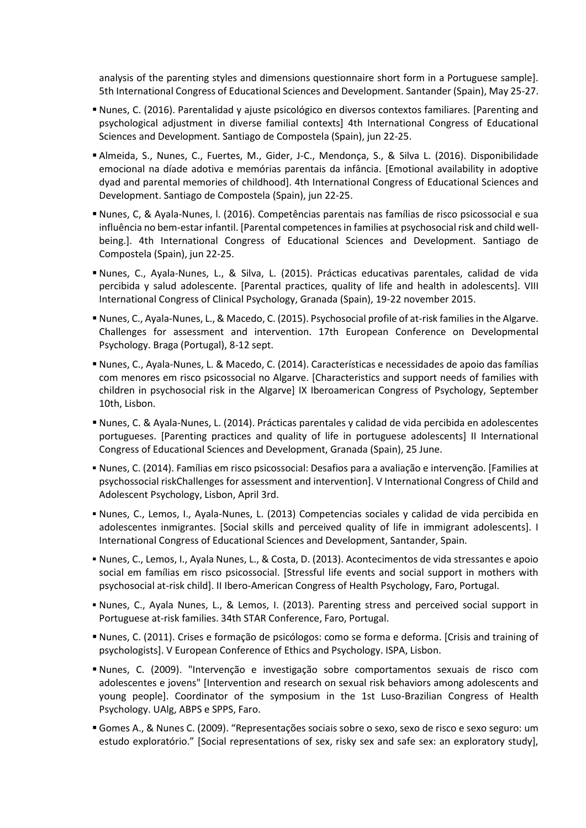analysis of the parenting styles and dimensions questionnaire short form in a Portuguese sample]. 5th International Congress of Educational Sciences and Development. Santander (Spain), May 25-27.

- Nunes, C. (2016). Parentalidad y ajuste psicológico en diversos contextos familiares. [Parenting and psychological adjustment in diverse familial contexts] 4th International Congress of Educational Sciences and Development. Santiago de Compostela (Spain), jun 22-25.
- Almeida, S., Nunes, C., Fuertes, M., Gider, J-C., Mendonça, S., & Silva L. (2016). Disponibilidade emocional na díade adotiva e memórias parentais da infância. [Emotional availability in adoptive dyad and parental memories of childhood]. 4th International Congress of Educational Sciences and Development. Santiago de Compostela (Spain), jun 22-25.
- Nunes, C, & Ayala-Nunes, l. (2016). Competências parentais nas famílias de risco psicossocial e sua influência no bem-estar infantil. [Parental competences in families at psychosocial risk and child wellbeing.]. 4th International Congress of Educational Sciences and Development. Santiago de Compostela (Spain), jun 22-25.
- Nunes, C., Ayala-Nunes, L., & Silva, L. (2015). Prácticas educativas parentales, calidad de vida percibida y salud adolescente. [Parental practices, quality of life and health in adolescents]. VIII International Congress of Clinical Psychology, Granada (Spain), 19-22 november 2015.
- Nunes, C., Ayala-Nunes, L., & Macedo, C. (2015). Psychosocial profile of at-risk families in the Algarve. Challenges for assessment and intervention. 17th European Conference on Developmental Psychology. Braga (Portugal), 8-12 sept.
- Nunes, C., Ayala-Nunes, L. & Macedo, C. (2014). Características e necessidades de apoio das famílias com menores em risco psicossocial no Algarve. [Characteristics and support needs of families with children in psychosocial risk in the Algarve] IX Iberoamerican Congress of Psychology, September 10th, Lisbon.
- Nunes, C. & Ayala-Nunes, L. (2014). Prácticas parentales y calidad de vida percibida en adolescentes portugueses. [Parenting practices and quality of life in portuguese adolescents] II International Congress of Educational Sciences and Development, Granada (Spain), 25 June.
- Nunes, C. (2014). Famílias em risco psicossocial: Desafios para a avaliação e intervenção. [Families at psychossocial riskChallenges for assessment and intervention]. V International Congress of Child and Adolescent Psychology, Lisbon, April 3rd.
- Nunes, C., Lemos, I., Ayala-Nunes, L. (2013) Competencias sociales y calidad de vida percibida en adolescentes inmigrantes. [Social skills and perceived quality of life in immigrant adolescents]. I International Congress of Educational Sciences and Development, Santander, Spain.
- Nunes, C., Lemos, I., Ayala Nunes, L., & Costa, D. (2013). Acontecimentos de vida stressantes e apoio social em famílias em risco psicossocial. [Stressful life events and social support in mothers with psychosocial at-risk child]. II Ibero-American Congress of Health Psychology, Faro, Portugal.
- Nunes, C., Ayala Nunes, L., & Lemos, I. (2013). Parenting stress and perceived social support in Portuguese at-risk families. 34th STAR Conference, Faro, Portugal.
- Nunes, C. (2011). Crises e formação de psicólogos: como se forma e deforma. [Crisis and training of psychologists]. V European Conference of Ethics and Psychology. ISPA, Lisbon.
- Nunes, C. (2009). "Intervenção e investigação sobre comportamentos sexuais de risco com adolescentes e jovens" [Intervention and research on sexual risk behaviors among adolescents and young people]. Coordinator of the symposium in the 1st Luso-Brazilian Congress of Health Psychology. UAlg, ABPS e SPPS, Faro.
- Gomes A., & Nunes C. (2009). "Representações sociais sobre o sexo, sexo de risco e sexo seguro: um estudo exploratório." [Social representations of sex, risky sex and safe sex: an exploratory study],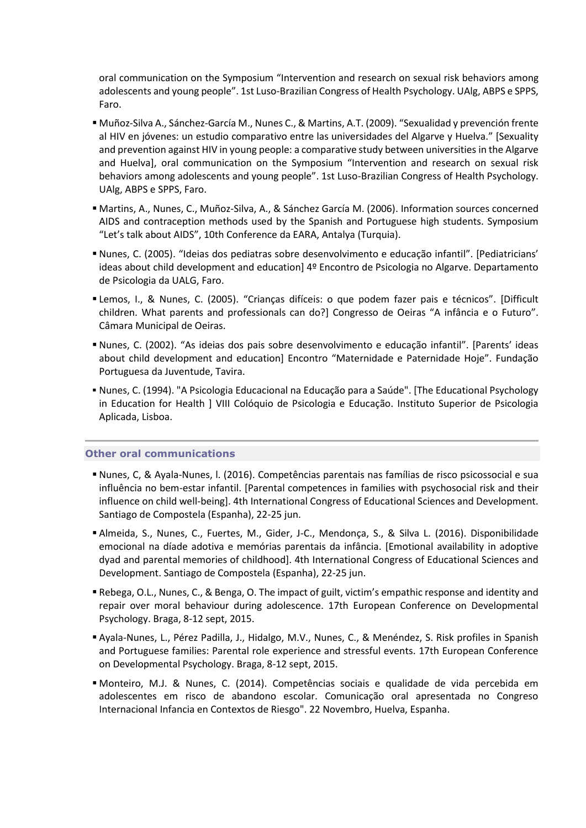oral communication on the Symposium "Intervention and research on sexual risk behaviors among adolescents and young people". 1st Luso-Brazilian Congress of Health Psychology. UAlg, ABPS e SPPS, Faro.

- Muñoz-Silva A., Sánchez-García M., Nunes C., & Martins, A.T. (2009). "Sexualidad y prevención frente al HIV en jóvenes: un estudio comparativo entre las universidades del Algarve y Huelva." [Sexuality and prevention against HIV in young people: a comparative study between universities in the Algarve and Huelva], oral communication on the Symposium "Intervention and research on sexual risk behaviors among adolescents and young people". 1st Luso-Brazilian Congress of Health Psychology. UAlg, ABPS e SPPS, Faro.
- Martins, A., Nunes, C., Muñoz-Silva, A., & Sánchez García M. (2006). Information sources concerned AIDS and contraception methods used by the Spanish and Portuguese high students. Symposium "Let's talk about AIDS", 10th Conference da EARA, Antalya (Turquia).
- Nunes, C. (2005). "Ideias dos pediatras sobre desenvolvimento e educação infantil". [Pediatricians' ideas about child development and education] 4º Encontro de Psicologia no Algarve. Departamento de Psicologia da UALG, Faro.
- Lemos, I., & Nunes, C. (2005). "Crianças difíceis: o que podem fazer pais e técnicos". [Difficult children. What parents and professionals can do?] Congresso de Oeiras "A infância e o Futuro". Câmara Municipal de Oeiras.
- Nunes, C. (2002). "As ideias dos pais sobre desenvolvimento e educação infantil". [Parents' ideas about child development and education] Encontro "Maternidade e Paternidade Hoje". Fundação Portuguesa da Juventude, Tavira.
- Nunes, C. (1994). "A Psicologia Educacional na Educação para a Saúde". [The Educational Psychology in Education for Health ] VIII Colóquio de Psicologia e Educação. Instituto Superior de Psicologia Aplicada, Lisboa.

# **Other oral communications**

- Nunes, C, & Ayala-Nunes, l. (2016). Competências parentais nas famílias de risco psicossocial e sua influência no bem-estar infantil. [Parental competences in families with psychosocial risk and their influence on child well-being]. 4th International Congress of Educational Sciences and Development. Santiago de Compostela (Espanha), 22-25 jun.
- Almeida, S., Nunes, C., Fuertes, M., Gider, J-C., Mendonça, S., & Silva L. (2016). Disponibilidade emocional na díade adotiva e memórias parentais da infância. [Emotional availability in adoptive dyad and parental memories of childhood]. 4th International Congress of Educational Sciences and Development. Santiago de Compostela (Espanha), 22-25 jun.
- Rebega, O.L., Nunes, C., & Benga, O. The impact of guilt, victim's empathic response and identity and repair over moral behaviour during adolescence. 17th European Conference on Developmental Psychology. Braga, 8-12 sept, 2015.
- Ayala-Nunes, L., Pérez Padilla, J., Hidalgo, M.V., Nunes, C., & Menéndez, S. Risk profiles in Spanish and Portuguese families: Parental role experience and stressful events. 17th European Conference on Developmental Psychology. Braga, 8-12 sept, 2015.
- Monteiro, M.J. & Nunes, C. (2014). Competências sociais e qualidade de vida percebida em adolescentes em risco de abandono escolar. Comunicação oral apresentada no Congreso Internacional Infancia en Contextos de Riesgo". 22 Novembro, Huelva, Espanha.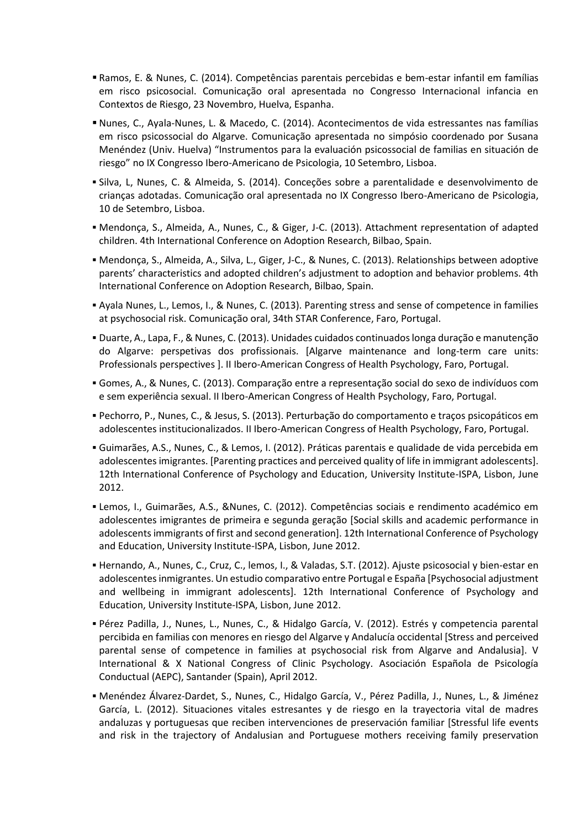- Ramos, E. & Nunes, C. (2014). Competências parentais percebidas e bem-estar infantil em famílias em risco psicosocial. Comunicação oral apresentada no Congresso Internacional infancia en Contextos de Riesgo, 23 Novembro, Huelva, Espanha.
- Nunes, C., Ayala-Nunes, L. & Macedo, C. (2014). Acontecimentos de vida estressantes nas famílias em risco psicossocial do Algarve. Comunicação apresentada no simpósio coordenado por Susana Menéndez (Univ. Huelva) "Instrumentos para la evaluación psicossocial de familias en situación de riesgo" no IX Congresso Ibero-Americano de Psicologia, 10 Setembro, Lisboa.
- Silva, L, Nunes, C. & Almeida, S. (2014). Conceções sobre a parentalidade e desenvolvimento de crianças adotadas. Comunicação oral apresentada no IX Congresso Ibero-Americano de Psicologia, 10 de Setembro, Lisboa.
- Mendonça, S., Almeida, A., Nunes, C., & Giger, J-C. (2013). Attachment representation of adapted children. 4th International Conference on Adoption Research, Bilbao, Spain.
- Mendonça, S., Almeida, A., Silva, L., Giger, J-C., & Nunes, C. (2013). Relationships between adoptive parents' characteristics and adopted children's adjustment to adoption and behavior problems. 4th International Conference on Adoption Research, Bilbao, Spain.
- Ayala Nunes, L., Lemos, I., & Nunes, C. (2013). Parenting stress and sense of competence in families at psychosocial risk. Comunicação oral, 34th STAR Conference, Faro, Portugal.
- Duarte, A., Lapa, F., & Nunes, C. (2013). Unidades cuidados continuados longa duração e manutenção do Algarve: perspetivas dos profissionais. [Algarve maintenance and long-term care units: Professionals perspectives ]. II Ibero-American Congress of Health Psychology, Faro, Portugal.
- Gomes, A., & Nunes, C. (2013). Comparação entre a representação social do sexo de indivíduos com e sem experiência sexual. II Ibero-American Congress of Health Psychology, Faro, Portugal.
- Pechorro, P., Nunes, C., & Jesus, S. (2013). Perturbação do comportamento e traços psicopáticos em adolescentes institucionalizados. II Ibero-American Congress of Health Psychology, Faro, Portugal.
- Guimarães, A.S., Nunes, C., & Lemos, I. (2012). Práticas parentais e qualidade de vida percebida em adolescentes imigrantes. [Parenting practices and perceived quality of life in immigrant adolescents]. 12th International Conference of Psychology and Education, University Institute-ISPA, Lisbon, June 2012.
- Lemos, I., Guimarães, A.S., &Nunes, C. (2012). Competências sociais e rendimento académico em adolescentes imigrantes de primeira e segunda geração [Social skills and academic performance in adolescents immigrants of first and second generation]. 12th International Conference of Psychology and Education, University Institute-ISPA, Lisbon, June 2012.
- Hernando, A., Nunes, C., Cruz, C., lemos, I., & Valadas, S.T. (2012). Ajuste psicosocial y bien-estar en adolescentes inmigrantes. Un estudio comparativo entre Portugal e España [Psychosocial adjustment and wellbeing in immigrant adolescents]. 12th International Conference of Psychology and Education, University Institute-ISPA, Lisbon, June 2012.
- Pérez Padilla, J., Nunes, L., Nunes, C., & Hidalgo García, V. (2012). Estrés y competencia parental percibida en familias con menores en riesgo del Algarve y Andalucía occidental [Stress and perceived parental sense of competence in families at psychosocial risk from Algarve and Andalusia]. V International & X National Congress of Clinic Psychology. Asociación Española de Psicología Conductual (AEPC), Santander (Spain), April 2012.
- Menéndez Álvarez-Dardet, S., Nunes, C., Hidalgo García, V., Pérez Padilla, J., Nunes, L., & Jiménez García, L. (2012). Situaciones vitales estresantes y de riesgo en la trayectoria vital de madres andaluzas y portuguesas que reciben intervenciones de preservación familiar [Stressful life events and risk in the trajectory of Andalusian and Portuguese mothers receiving family preservation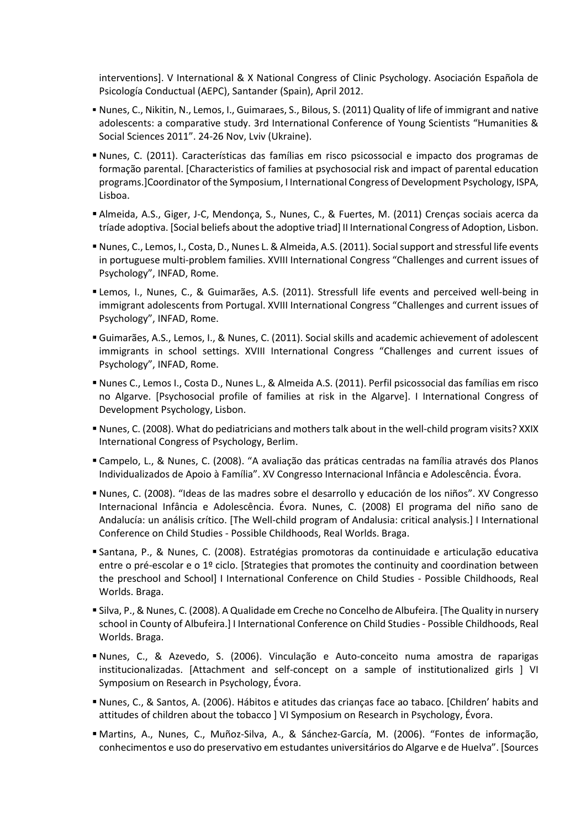interventions]. V International & X National Congress of Clinic Psychology. Asociación Española de Psicología Conductual (AEPC), Santander (Spain), April 2012.

- Nunes, C., Nikitin, N., Lemos, I., Guimaraes, S., Bilous, S. (2011) Quality of life of immigrant and native adolescents: a comparative study. 3rd International Conference of Young Scientists "Humanities & Social Sciences 2011". 24-26 Nov, Lviv (Ukraine).
- Nunes, C. (2011). Características das famílias em risco psicossocial e impacto dos programas de formação parental. [Characteristics of families at psychosocial risk and impact of parental education programs.]Coordinator of the Symposium, I International Congress of Development Psychology, ISPA, Lisboa.
- Almeida, A.S., Giger, J-C, Mendonça, S., Nunes, C., & Fuertes, M. (2011) Crenças sociais acerca da tríade adoptiva. [Social beliefs about the adoptive triad] II International Congress of Adoption, Lisbon.
- Nunes, C., Lemos, I., Costa, D., Nunes L. & Almeida, A.S. (2011). Social support and stressful life events in portuguese multi-problem families. XVIII International Congress "Challenges and current issues of Psychology", INFAD, Rome.
- Lemos, I., Nunes, C., & Guimarães, A.S. (2011). Stressfull life events and perceived well-being in immigrant adolescents from Portugal. XVIII International Congress "Challenges and current issues of Psychology", INFAD, Rome.
- Guimarães, A.S., Lemos, I., & Nunes, C. (2011). Social skills and academic achievement of adolescent immigrants in school settings. XVIII International Congress "Challenges and current issues of Psychology", INFAD, Rome.
- Nunes C., Lemos I., Costa D., Nunes L., & Almeida A.S. (2011). Perfil psicossocial das famílias em risco no Algarve. [Psychosocial profile of families at risk in the Algarve]. I International Congress of Development Psychology, Lisbon.
- Nunes, C. (2008). What do pediatricians and mothers talk about in the well-child program visits? XXIX International Congress of Psychology, Berlim.
- Campelo, L., & Nunes, C. (2008). "A avaliação das práticas centradas na família através dos Planos Individualizados de Apoio à Família". XV Congresso Internacional Infância e Adolescência. Évora.
- Nunes, C. (2008). "Ideas de las madres sobre el desarrollo y educación de los niños". XV Congresso Internacional Infância e Adolescência. Évora. Nunes, C. (2008) El programa del niño sano de Andalucía: un análisis crítico. [The Well-child program of Andalusia: critical analysis.] I International Conference on Child Studies - Possible Childhoods, Real Worlds. Braga.
- Santana, P., & Nunes, C. (2008). Estratégias promotoras da continuidade e articulação educativa entre o pré-escolar e o 1º ciclo. [Strategies that promotes the continuity and coordination between the preschool and School] I International Conference on Child Studies - Possible Childhoods, Real Worlds. Braga.
- Silva, P., & Nunes, C. (2008). A Qualidade em Creche no Concelho de Albufeira. [The Quality in nursery school in County of Albufeira.] I International Conference on Child Studies - Possible Childhoods, Real Worlds. Braga.
- Nunes, C., & Azevedo, S. (2006). Vinculação e Auto-conceito numa amostra de raparigas institucionalizadas. [Attachment and self-concept on a sample of institutionalized girls ] VI Symposium on Research in Psychology, Évora.
- Nunes, C., & Santos, A. (2006). Hábitos e atitudes das crianças face ao tabaco. [Children' habits and attitudes of children about the tobacco ] VI Symposium on Research in Psychology, Évora.
- Martins, A., Nunes, C., Muñoz-Silva, A., & Sánchez-García, M. (2006). "Fontes de informação, conhecimentos e uso do preservativo em estudantes universitários do Algarve e de Huelva". [Sources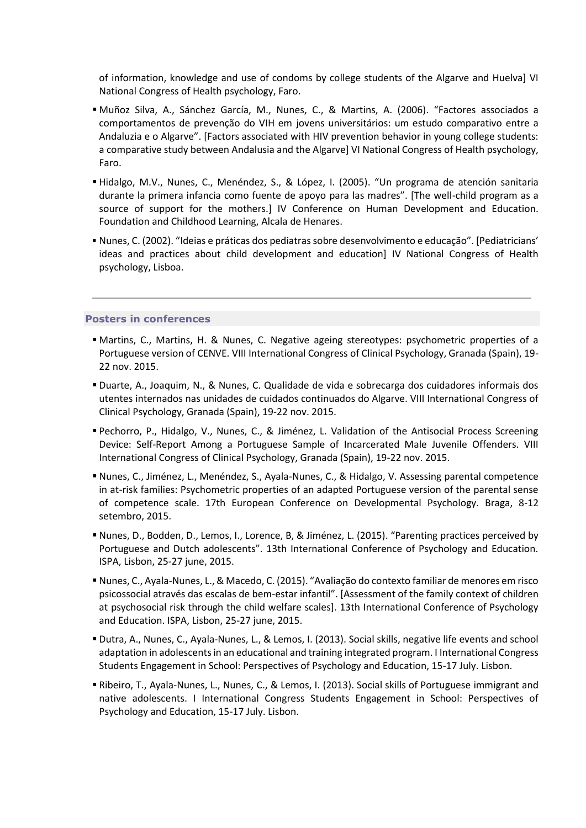of information, knowledge and use of condoms by college students of the Algarve and Huelva] VI National Congress of Health psychology, Faro.

- Muñoz Silva, A., Sánchez García, M., Nunes, C., & Martins, A. (2006). "Factores associados a comportamentos de prevenção do VIH em jovens universitários: um estudo comparativo entre a Andaluzia e o Algarve". [Factors associated with HIV prevention behavior in young college students: a comparative study between Andalusia and the Algarve] VI National Congress of Health psychology, Faro.
- Hidalgo, M.V., Nunes, C., Menéndez, S., & López, I. (2005). "Un programa de atención sanitaria durante la primera infancia como fuente de apoyo para las madres". [The well-child program as a source of support for the mothers.] IV Conference on Human Development and Education. Foundation and Childhood Learning, Alcala de Henares.
- Nunes, C. (2002). "Ideias e práticas dos pediatras sobre desenvolvimento e educação". [Pediatricians' ideas and practices about child development and education] IV National Congress of Health psychology, Lisboa.

### **Posters in conferences**

- Martins, C., Martins, H. & Nunes, C. Negative ageing stereotypes: psychometric properties of a Portuguese version of CENVE. VIII International Congress of Clinical Psychology, Granada (Spain), 19- 22 nov. 2015.
- Duarte, A., Joaquim, N., & Nunes, C. Qualidade de vida e sobrecarga dos cuidadores informais dos utentes internados nas unidades de cuidados continuados do Algarve. VIII International Congress of Clinical Psychology, Granada (Spain), 19-22 nov. 2015.
- Pechorro, P., Hidalgo, V., Nunes, C., & Jiménez, L. Validation of the Antisocial Process Screening Device: Self-Report Among a Portuguese Sample of Incarcerated Male Juvenile Offenders. VIII International Congress of Clinical Psychology, Granada (Spain), 19-22 nov. 2015.
- Nunes, C., Jiménez, L., Menéndez, S., Ayala-Nunes, C., & Hidalgo, V. Assessing parental competence in at-risk families: Psychometric properties of an adapted Portuguese version of the parental sense of competence scale. 17th European Conference on Developmental Psychology. Braga, 8-12 setembro, 2015.
- Nunes, D., Bodden, D., Lemos, I., Lorence, B, & Jiménez, L. (2015). "Parenting practices perceived by Portuguese and Dutch adolescents". 13th International Conference of Psychology and Education. ISPA, Lisbon, 25-27 june, 2015.
- Nunes, C., Ayala-Nunes, L., & Macedo, C. (2015). "Avaliação do contexto familiar de menores em risco psicossocial através das escalas de bem-estar infantil". [Assessment of the family context of children at psychosocial risk through the child welfare scales]. 13th International Conference of Psychology and Education. ISPA, Lisbon, 25-27 june, 2015.
- Dutra, A., Nunes, C., Ayala-Nunes, L., & Lemos, I. (2013). Social skills, negative life events and school adaptation in adolescents in an educational and training integrated program. I International Congress Students Engagement in School: Perspectives of Psychology and Education, 15-17 July. Lisbon.
- Ribeiro, T., Ayala-Nunes, L., Nunes, C., & Lemos, I. (2013). Social skills of Portuguese immigrant and native adolescents. I International Congress Students Engagement in School: Perspectives of Psychology and Education, 15-17 July. Lisbon.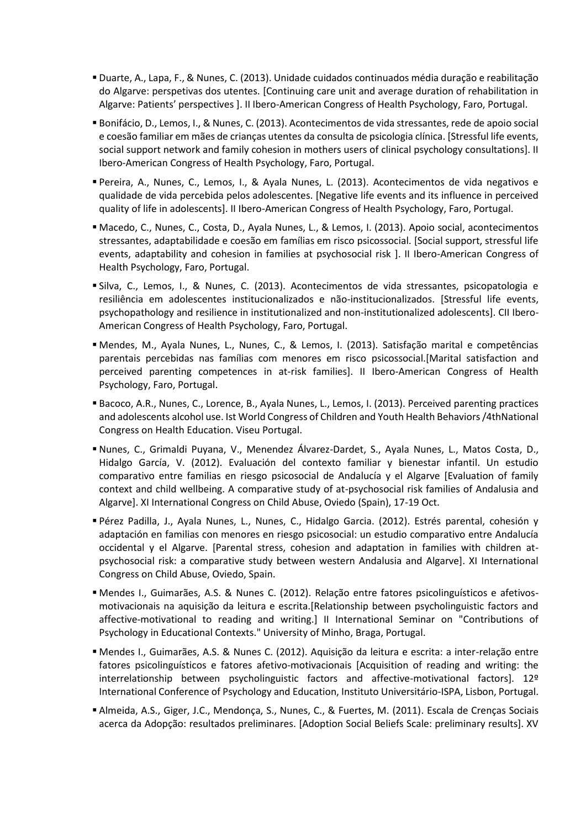- Duarte, A., Lapa, F., & Nunes, C. (2013). Unidade cuidados continuados média duração e reabilitação do Algarve: perspetivas dos utentes. [Continuing care unit and average duration of rehabilitation in Algarve: Patients' perspectives ]. II Ibero-American Congress of Health Psychology, Faro, Portugal.
- Bonifácio, D., Lemos, I., & Nunes, C. (2013). Acontecimentos de vida stressantes, rede de apoio social e coesão familiar em mães de crianças utentes da consulta de psicologia clínica. [Stressful life events, social support network and family cohesion in mothers users of clinical psychology consultations]. II Ibero-American Congress of Health Psychology, Faro, Portugal.
- Pereira, A., Nunes, C., Lemos, I., & Ayala Nunes, L. (2013). Acontecimentos de vida negativos e qualidade de vida percebida pelos adolescentes. [Negative life events and its influence in perceived quality of life in adolescents]. II Ibero-American Congress of Health Psychology, Faro, Portugal.
- Macedo, C., Nunes, C., Costa, D., Ayala Nunes, L., & Lemos, I. (2013). Apoio social, acontecimentos stressantes, adaptabilidade e coesão em famílias em risco psicossocial. [Social support, stressful life events, adaptability and cohesion in families at psychosocial risk ]. II Ibero-American Congress of Health Psychology, Faro, Portugal.
- Silva, C., Lemos, I., & Nunes, C. (2013). Acontecimentos de vida stressantes, psicopatologia e resiliência em adolescentes institucionalizados e não-institucionalizados. [Stressful life events, psychopathology and resilience in institutionalized and non-institutionalized adolescents]. CII Ibero-American Congress of Health Psychology, Faro, Portugal.
- Mendes, M., Ayala Nunes, L., Nunes, C., & Lemos, I. (2013). Satisfação marital e competências parentais percebidas nas famílias com menores em risco psicossocial.[Marital satisfaction and perceived parenting competences in at-risk families]. II Ibero-American Congress of Health Psychology, Faro, Portugal.
- Bacoco, A.R., Nunes, C., Lorence, B., Ayala Nunes, L., Lemos, I. (2013). Perceived parenting practices and adolescents alcohol use. Ist World Congress of Children and Youth Health Behaviors /4thNational Congress on Health Education. Viseu Portugal.
- Nunes, C., Grimaldi Puyana, V., Menendez Álvarez-Dardet, S., Ayala Nunes, L., Matos Costa, D., Hidalgo García, V. (2012). Evaluación del contexto familiar y bienestar infantil. Un estudio comparativo entre familias en riesgo psicosocial de Andalucía y el Algarve [Evaluation of family context and child wellbeing. A comparative study of at-psychosocial risk families of Andalusia and Algarve]. XI International Congress on Child Abuse, Oviedo (Spain), 17-19 Oct.
- Pérez Padilla, J., Ayala Nunes, L., Nunes, C., Hidalgo Garcia. (2012). Estrés parental, cohesión y adaptación en familias con menores en riesgo psicosocial: un estudio comparativo entre Andalucía occidental y el Algarve. [Parental stress, cohesion and adaptation in families with children atpsychosocial risk: a comparative study between western Andalusia and Algarve]. XI International Congress on Child Abuse, Oviedo, Spain.
- Mendes I., Guimarães, A.S. & Nunes C. (2012). Relação entre fatores psicolinguísticos e afetivosmotivacionais na aquisição da leitura e escrita.[Relationship between psycholinguistic factors and affective-motivational to reading and writing.] II International Seminar on "Contributions of Psychology in Educational Contexts." University of Minho, Braga, Portugal.
- Mendes I., Guimarães, A.S. & Nunes C. (2012). Aquisição da leitura e escrita: a inter-relação entre fatores psicolinguísticos e fatores afetivo-motivacionais [Acquisition of reading and writing: the interrelationship between psycholinguistic factors and affective-motivational factors]. 12º International Conference of Psychology and Education, Instituto Universitário-ISPA, Lisbon, Portugal.
- Almeida, A.S., Giger, J.C., Mendonça, S., Nunes, C., & Fuertes, M. (2011). Escala de Crenças Sociais acerca da Adopção: resultados preliminares. [Adoption Social Beliefs Scale: preliminary results]. XV